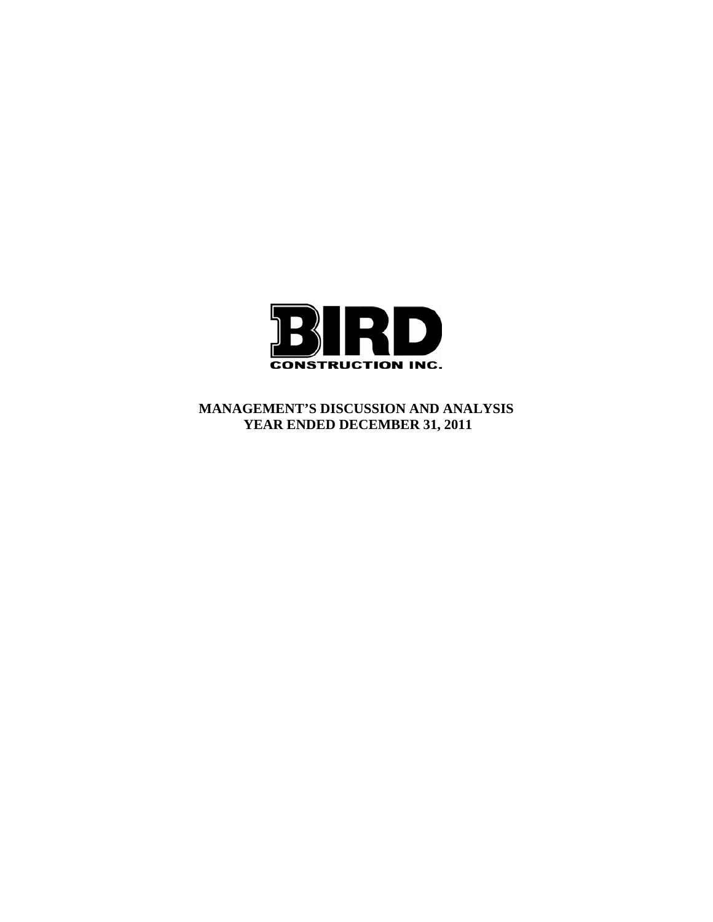

**MANAGEMENT'S DISCUSSION AND ANALYSIS YEAR ENDED DECEMBER 31, 2011**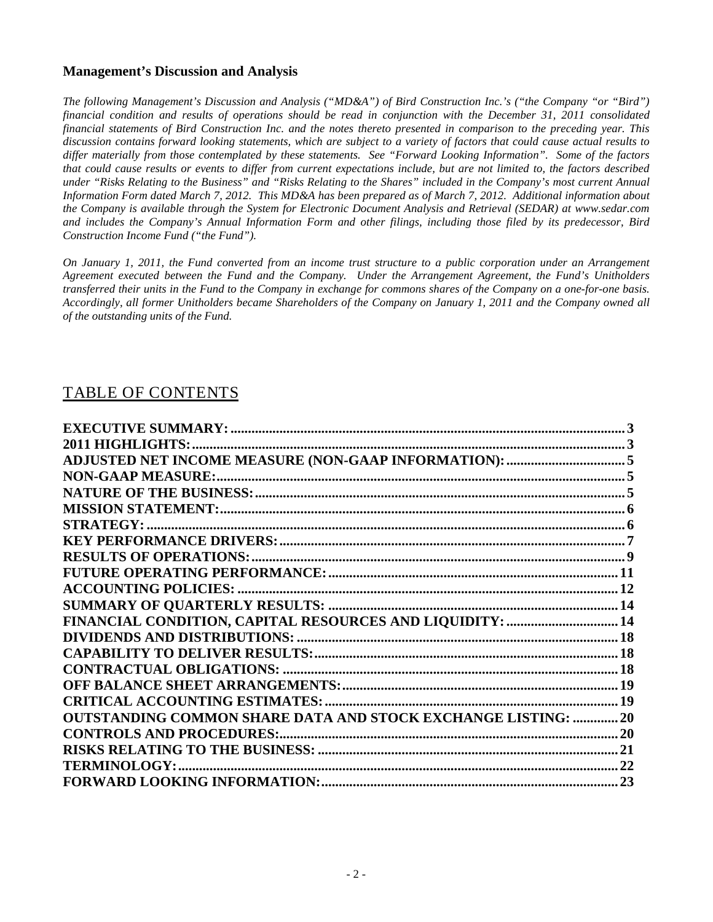## **Management's Discussion and Analysis**

*The following Management's Discussion and Analysis ("MD&A") of Bird Construction Inc.'s ("the Company "or "Bird") financial condition and results of operations should be read in conjunction with the December 31, 2011 consolidated financial statements of Bird Construction Inc. and the notes thereto presented in comparison to the preceding year. This discussion contains forward looking statements, which are subject to a variety of factors that could cause actual results to differ materially from those contemplated by these statements. See "Forward Looking Information". Some of the factors that could cause results or events to differ from current expectations include, but are not limited to, the factors described under "Risks Relating to the Business" and "Risks Relating to the Shares" included in the Company's most current Annual Information Form dated March 7, 2012. This MD&A has been prepared as of March 7, 2012. Additional information about the Company is available through the System for Electronic Document Analysis and Retrieval (SEDAR) at www.sedar.com and includes the Company's Annual Information Form and other filings, including those filed by its predecessor, Bird Construction Income Fund ("the Fund").* 

*On January 1, 2011, the Fund converted from an income trust structure to a public corporation under an Arrangement Agreement executed between the Fund and the Company. Under the Arrangement Agreement, the Fund's Unitholders transferred their units in the Fund to the Company in exchange for commons shares of the Company on a one-for-one basis. Accordingly, all former Unitholders became Shareholders of the Company on January 1, 2011 and the Company owned all of the outstanding units of the Fund.*

# TABLE OF CONTENTS

| FINANCIAL CONDITION, CAPITAL RESOURCES AND LIQUIDITY:  14            |  |
|----------------------------------------------------------------------|--|
|                                                                      |  |
|                                                                      |  |
|                                                                      |  |
|                                                                      |  |
|                                                                      |  |
| <b>OUTSTANDING COMMON SHARE DATA AND STOCK EXCHANGE LISTING:  20</b> |  |
|                                                                      |  |
|                                                                      |  |
|                                                                      |  |
|                                                                      |  |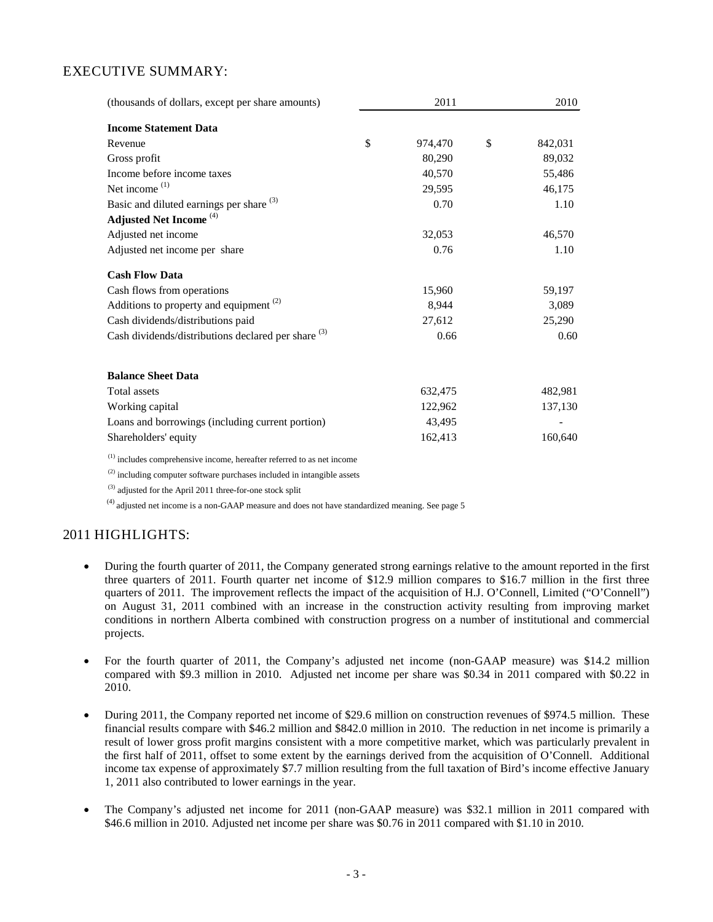# EXECUTIVE SUMMARY:

| (thousands of dollars, except per share amounts)                         | 2011 |         |    | 2010    |  |
|--------------------------------------------------------------------------|------|---------|----|---------|--|
| <b>Income Statement Data</b>                                             |      |         |    |         |  |
| Revenue                                                                  | \$   | 974,470 | \$ | 842,031 |  |
| Gross profit                                                             |      | 80,290  |    | 89,032  |  |
| Income before income taxes                                               |      | 40,570  |    | 55,486  |  |
| Net income $(1)$                                                         |      | 29,595  |    | 46,175  |  |
| Basic and diluted earnings per share (3)                                 |      | 0.70    |    | 1.10    |  |
| Adjusted Net Income <sup>(4)</sup>                                       |      |         |    |         |  |
| Adjusted net income                                                      |      | 32,053  |    | 46,570  |  |
| Adjusted net income per share                                            |      | 0.76    |    | 1.10    |  |
| <b>Cash Flow Data</b>                                                    |      |         |    |         |  |
| Cash flows from operations                                               |      | 15,960  |    | 59,197  |  |
| Additions to property and equipment $(2)$                                |      | 8,944   |    | 3,089   |  |
| Cash dividends/distributions paid                                        |      | 27,612  |    | 25,290  |  |
| Cash dividends/distributions declared per share (3)                      |      | 0.66    |    | 0.60    |  |
| <b>Balance Sheet Data</b>                                                |      |         |    |         |  |
| Total assets                                                             |      | 632,475 |    | 482,981 |  |
| Working capital                                                          |      | 122,962 |    | 137,130 |  |
|                                                                          |      | 43,495  |    |         |  |
| Loans and borrowings (including current portion)                         |      |         |    |         |  |
| Shareholders' equity                                                     |      | 162,413 |    | 160,640 |  |
| $(1)$ includes comprehensive income, hereafter referred to as net income |      |         |    |         |  |

 $(2)$  including computer software purchases included in intangible assets

(3) adjusted for the April 2011 three-for-one stock split

 $<sup>(4)</sup>$  adjusted net income is a non-GAAP measure and does not have standardized meaning. See page 5</sup>

# 2011 HIGHLIGHTS:

- During the fourth quarter of 2011, the Company generated strong earnings relative to the amount reported in the first three quarters of 2011. Fourth quarter net income of \$12.9 million compares to \$16.7 million in the first three quarters of 2011. The improvement reflects the impact of the acquisition of H.J. O'Connell, Limited ("O'Connell") on August 31, 2011 combined with an increase in the construction activity resulting from improving market conditions in northern Alberta combined with construction progress on a number of institutional and commercial projects.
- For the fourth quarter of 2011, the Company's adjusted net income (non-GAAP measure) was \$14.2 million compared with \$9.3 million in 2010. Adjusted net income per share was \$0.34 in 2011 compared with \$0.22 in 2010.
- During 2011, the Company reported net income of \$29.6 million on construction revenues of \$974.5 million. These financial results compare with \$46.2 million and \$842.0 million in 2010. The reduction in net income is primarily a result of lower gross profit margins consistent with a more competitive market, which was particularly prevalent in the first half of 2011, offset to some extent by the earnings derived from the acquisition of O'Connell. Additional income tax expense of approximately \$7.7 million resulting from the full taxation of Bird's income effective January 1, 2011 also contributed to lower earnings in the year.
- The Company's adjusted net income for 2011 (non-GAAP measure) was \$32.1 million in 2011 compared with \$46.6 million in 2010. Adjusted net income per share was \$0.76 in 2011 compared with \$1.10 in 2010.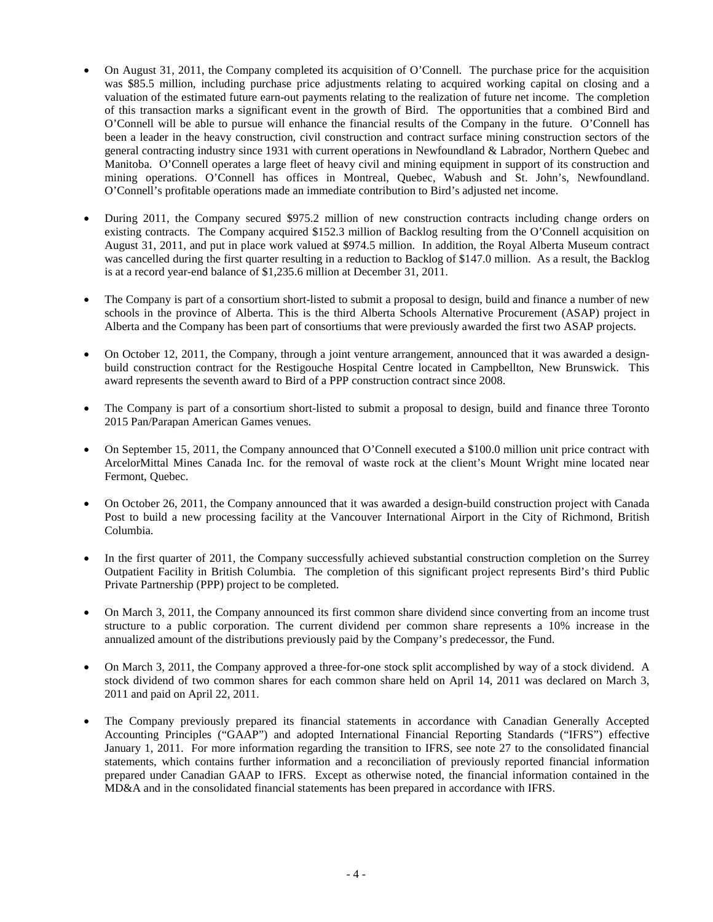- On August 31, 2011, the Company completed its acquisition of O'Connell. The purchase price for the acquisition was \$85.5 million, including purchase price adjustments relating to acquired working capital on closing and a valuation of the estimated future earn-out payments relating to the realization of future net income. The completion of this transaction marks a significant event in the growth of Bird. The opportunities that a combined Bird and O'Connell will be able to pursue will enhance the financial results of the Company in the future. O'Connell has been a leader in the heavy construction, civil construction and contract surface mining construction sectors of the general contracting industry since 1931 with current operations in Newfoundland & Labrador, Northern Quebec and Manitoba. O'Connell operates a large fleet of heavy civil and mining equipment in support of its construction and mining operations. O'Connell has offices in Montreal, Quebec, Wabush and St. John's, Newfoundland. O'Connell's profitable operations made an immediate contribution to Bird's adjusted net income.
- During 2011, the Company secured \$975.2 million of new construction contracts including change orders on existing contracts. The Company acquired \$152.3 million of Backlog resulting from the O'Connell acquisition on August 31, 2011, and put in place work valued at \$974.5 million. In addition, the Royal Alberta Museum contract was cancelled during the first quarter resulting in a reduction to Backlog of \$147.0 million. As a result, the Backlog is at a record year-end balance of \$1,235.6 million at December 31, 2011.
- The Company is part of a consortium short-listed to submit a proposal to design, build and finance a number of new schools in the province of Alberta. This is the third Alberta Schools Alternative Procurement (ASAP) project in Alberta and the Company has been part of consortiums that were previously awarded the first two ASAP projects.
- On October 12, 2011, the Company, through a joint venture arrangement, announced that it was awarded a designbuild construction contract for the Restigouche Hospital Centre located in Campbellton, New Brunswick. This award represents the seventh award to Bird of a PPP construction contract since 2008.
- The Company is part of a consortium short-listed to submit a proposal to design, build and finance three Toronto 2015 Pan/Parapan American Games venues.
- On September 15, 2011, the Company announced that O'Connell executed a \$100.0 million unit price contract with ArcelorMittal Mines Canada Inc. for the removal of waste rock at the client's Mount Wright mine located near Fermont, Quebec.
- On October 26, 2011, the Company announced that it was awarded a design-build construction project with Canada Post to build a new processing facility at the Vancouver International Airport in the City of Richmond, British Columbia.
- In the first quarter of 2011, the Company successfully achieved substantial construction completion on the Surrey Outpatient Facility in British Columbia. The completion of this significant project represents Bird's third Public Private Partnership (PPP) project to be completed.
- On March 3, 2011, the Company announced its first common share dividend since converting from an income trust structure to a public corporation. The current dividend per common share represents a 10% increase in the annualized amount of the distributions previously paid by the Company's predecessor, the Fund.
- On March 3, 2011, the Company approved a three-for-one stock split accomplished by way of a stock dividend. A stock dividend of two common shares for each common share held on April 14, 2011 was declared on March 3, 2011 and paid on April 22, 2011.
- The Company previously prepared its financial statements in accordance with Canadian Generally Accepted Accounting Principles ("GAAP") and adopted International Financial Reporting Standards ("IFRS") effective January 1, 2011. For more information regarding the transition to IFRS, see note 27 to the consolidated financial statements, which contains further information and a reconciliation of previously reported financial information prepared under Canadian GAAP to IFRS. Except as otherwise noted, the financial information contained in the MD&A and in the consolidated financial statements has been prepared in accordance with IFRS.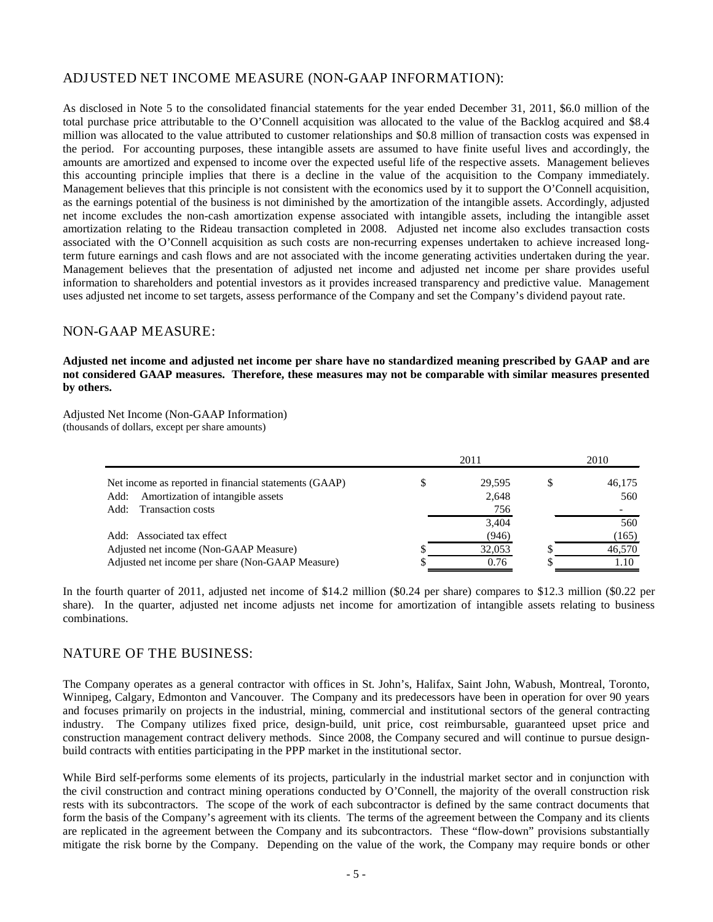# ADJUSTED NET INCOME MEASURE (NON-GAAP INFORMATION):

As disclosed in Note 5 to the consolidated financial statements for the year ended December 31, 2011, \$6.0 million of the total purchase price attributable to the O'Connell acquisition was allocated to the value of the Backlog acquired and \$8.4 million was allocated to the value attributed to customer relationships and \$0.8 million of transaction costs was expensed in the period. For accounting purposes, these intangible assets are assumed to have finite useful lives and accordingly, the amounts are amortized and expensed to income over the expected useful life of the respective assets. Management believes this accounting principle implies that there is a decline in the value of the acquisition to the Company immediately. Management believes that this principle is not consistent with the economics used by it to support the O'Connell acquisition, as the earnings potential of the business is not diminished by the amortization of the intangible assets. Accordingly, adjusted net income excludes the non-cash amortization expense associated with intangible assets, including the intangible asset amortization relating to the Rideau transaction completed in 2008. Adjusted net income also excludes transaction costs associated with the O'Connell acquisition as such costs are non-recurring expenses undertaken to achieve increased longterm future earnings and cash flows and are not associated with the income generating activities undertaken during the year. Management believes that the presentation of adjusted net income and adjusted net income per share provides useful information to shareholders and potential investors as it provides increased transparency and predictive value. Management uses adjusted net income to set targets, assess performance of the Company and set the Company's dividend payout rate.

### NON-GAAP MEASURE:

**Adjusted net income and adjusted net income per share have no standardized meaning prescribed by GAAP and are not considered GAAP measures. Therefore, these measures may not be comparable with similar measures presented by others.** 

Adjusted Net Income (Non-GAAP Information) (thousands of dollars, except per share amounts)

|                                                       |   | 2011   | 2010 |        |  |
|-------------------------------------------------------|---|--------|------|--------|--|
| Net income as reported in financial statements (GAAP) | S | 29.595 |      | 46,175 |  |
| Add: Amortization of intangible assets                |   | 2,648  |      | 560    |  |
| Add: Transaction costs                                |   | 756    |      |        |  |
|                                                       |   | 3.404  |      | 560    |  |
| Add: Associated tax effect                            |   | (946)  |      | (165)  |  |
| Adjusted net income (Non-GAAP Measure)                |   | 32,053 |      | 46,570 |  |
| Adjusted net income per share (Non-GAAP Measure)      |   | 0.76   |      | 1.10   |  |

In the fourth quarter of 2011, adjusted net income of \$14.2 million (\$0.24 per share) compares to \$12.3 million (\$0.22 per share). In the quarter, adjusted net income adjusts net income for amortization of intangible assets relating to business combinations.

### NATURE OF THE BUSINESS:

The Company operates as a general contractor with offices in St. John's, Halifax, Saint John, Wabush, Montreal, Toronto, Winnipeg, Calgary, Edmonton and Vancouver. The Company and its predecessors have been in operation for over 90 years and focuses primarily on projects in the industrial, mining, commercial and institutional sectors of the general contracting industry. The Company utilizes fixed price, design-build, unit price, cost reimbursable, guaranteed upset price and construction management contract delivery methods. Since 2008, the Company secured and will continue to pursue designbuild contracts with entities participating in the PPP market in the institutional sector.

While Bird self-performs some elements of its projects, particularly in the industrial market sector and in conjunction with the civil construction and contract mining operations conducted by O'Connell, the majority of the overall construction risk rests with its subcontractors. The scope of the work of each subcontractor is defined by the same contract documents that form the basis of the Company's agreement with its clients. The terms of the agreement between the Company and its clients are replicated in the agreement between the Company and its subcontractors. These "flow-down" provisions substantially mitigate the risk borne by the Company. Depending on the value of the work, the Company may require bonds or other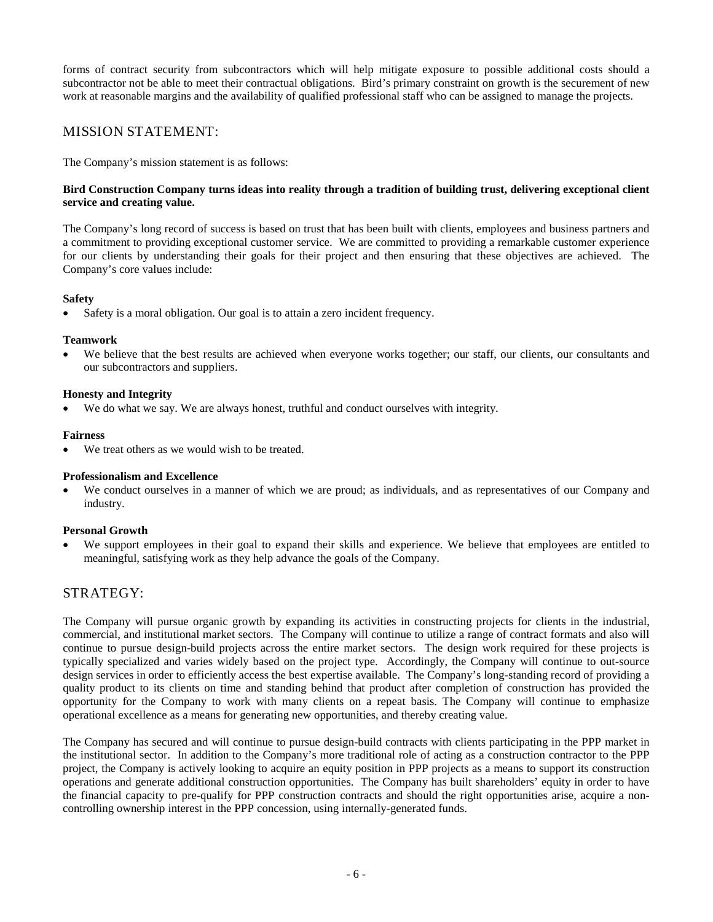forms of contract security from subcontractors which will help mitigate exposure to possible additional costs should a subcontractor not be able to meet their contractual obligations. Bird's primary constraint on growth is the securement of new work at reasonable margins and the availability of qualified professional staff who can be assigned to manage the projects.

# MISSION STATEMENT:

The Company's mission statement is as follows:

### **Bird Construction Company turns ideas into reality through a tradition of building trust, delivering exceptional client service and creating value.**

The Company's long record of success is based on trust that has been built with clients, employees and business partners and a commitment to providing exceptional customer service. We are committed to providing a remarkable customer experience for our clients by understanding their goals for their project and then ensuring that these objectives are achieved. The Company's core values include:

### **Safety**

Safety is a moral obligation. Our goal is to attain a zero incident frequency.

### **Teamwork**

We believe that the best results are achieved when everyone works together; our staff, our clients, our consultants and our subcontractors and suppliers.

### **Honesty and Integrity**

We do what we say. We are always honest, truthful and conduct ourselves with integrity.

### **Fairness**

We treat others as we would wish to be treated.

### **Professionalism and Excellence**

We conduct ourselves in a manner of which we are proud; as individuals, and as representatives of our Company and industry.

### **Personal Growth**

• We support employees in their goal to expand their skills and experience. We believe that employees are entitled to meaningful, satisfying work as they help advance the goals of the Company.

## STRATEGY:

The Company will pursue organic growth by expanding its activities in constructing projects for clients in the industrial, commercial, and institutional market sectors. The Company will continue to utilize a range of contract formats and also will continue to pursue design-build projects across the entire market sectors. The design work required for these projects is typically specialized and varies widely based on the project type. Accordingly, the Company will continue to out-source design services in order to efficiently access the best expertise available. The Company's long-standing record of providing a quality product to its clients on time and standing behind that product after completion of construction has provided the opportunity for the Company to work with many clients on a repeat basis. The Company will continue to emphasize operational excellence as a means for generating new opportunities, and thereby creating value.

The Company has secured and will continue to pursue design-build contracts with clients participating in the PPP market in the institutional sector. In addition to the Company's more traditional role of acting as a construction contractor to the PPP project, the Company is actively looking to acquire an equity position in PPP projects as a means to support its construction operations and generate additional construction opportunities. The Company has built shareholders' equity in order to have the financial capacity to pre-qualify for PPP construction contracts and should the right opportunities arise, acquire a noncontrolling ownership interest in the PPP concession, using internally-generated funds.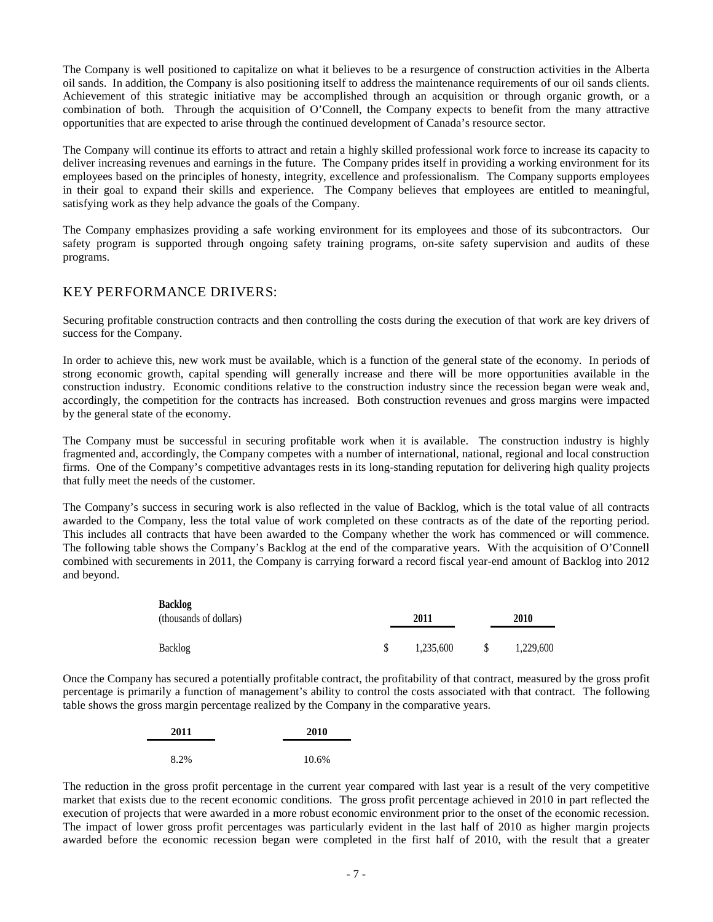The Company is well positioned to capitalize on what it believes to be a resurgence of construction activities in the Alberta oil sands. In addition, the Company is also positioning itself to address the maintenance requirements of our oil sands clients. Achievement of this strategic initiative may be accomplished through an acquisition or through organic growth, or a combination of both. Through the acquisition of O'Connell, the Company expects to benefit from the many attractive opportunities that are expected to arise through the continued development of Canada's resource sector.

The Company will continue its efforts to attract and retain a highly skilled professional work force to increase its capacity to deliver increasing revenues and earnings in the future. The Company prides itself in providing a working environment for its employees based on the principles of honesty, integrity, excellence and professionalism. The Company supports employees in their goal to expand their skills and experience. The Company believes that employees are entitled to meaningful, satisfying work as they help advance the goals of the Company.

The Company emphasizes providing a safe working environment for its employees and those of its subcontractors. Our safety program is supported through ongoing safety training programs, on-site safety supervision and audits of these programs.

# KEY PERFORMANCE DRIVERS:

Securing profitable construction contracts and then controlling the costs during the execution of that work are key drivers of success for the Company.

In order to achieve this, new work must be available, which is a function of the general state of the economy. In periods of strong economic growth, capital spending will generally increase and there will be more opportunities available in the construction industry. Economic conditions relative to the construction industry since the recession began were weak and, accordingly, the competition for the contracts has increased. Both construction revenues and gross margins were impacted by the general state of the economy.

The Company must be successful in securing profitable work when it is available. The construction industry is highly fragmented and, accordingly, the Company competes with a number of international, national, regional and local construction firms. One of the Company's competitive advantages rests in its long-standing reputation for delivering high quality projects that fully meet the needs of the customer.

The Company's success in securing work is also reflected in the value of Backlog, which is the total value of all contracts awarded to the Company, less the total value of work completed on these contracts as of the date of the reporting period. This includes all contracts that have been awarded to the Company whether the work has commenced or will commence. The following table shows the Company's Backlog at the end of the comparative years. With the acquisition of O'Connell combined with securements in 2011, the Company is carrying forward a record fiscal year-end amount of Backlog into 2012 and beyond.

| <b>Backlog</b><br>(thousands of dollars) | 2011 |           | 2010 |           |  |
|------------------------------------------|------|-----------|------|-----------|--|
| Backlog                                  |      | 1.235.600 |      | 1,229,600 |  |

Once the Company has secured a potentially profitable contract, the profitability of that contract, measured by the gross profit percentage is primarily a function of management's ability to control the costs associated with that contract. The following table shows the gross margin percentage realized by the Company in the comparative years.

| 2011 | 2010  |
|------|-------|
|      |       |
| 8.2% | 10.6% |

The reduction in the gross profit percentage in the current year compared with last year is a result of the very competitive market that exists due to the recent economic conditions. The gross profit percentage achieved in 2010 in part reflected the execution of projects that were awarded in a more robust economic environment prior to the onset of the economic recession. The impact of lower gross profit percentages was particularly evident in the last half of 2010 as higher margin projects awarded before the economic recession began were completed in the first half of 2010, with the result that a greater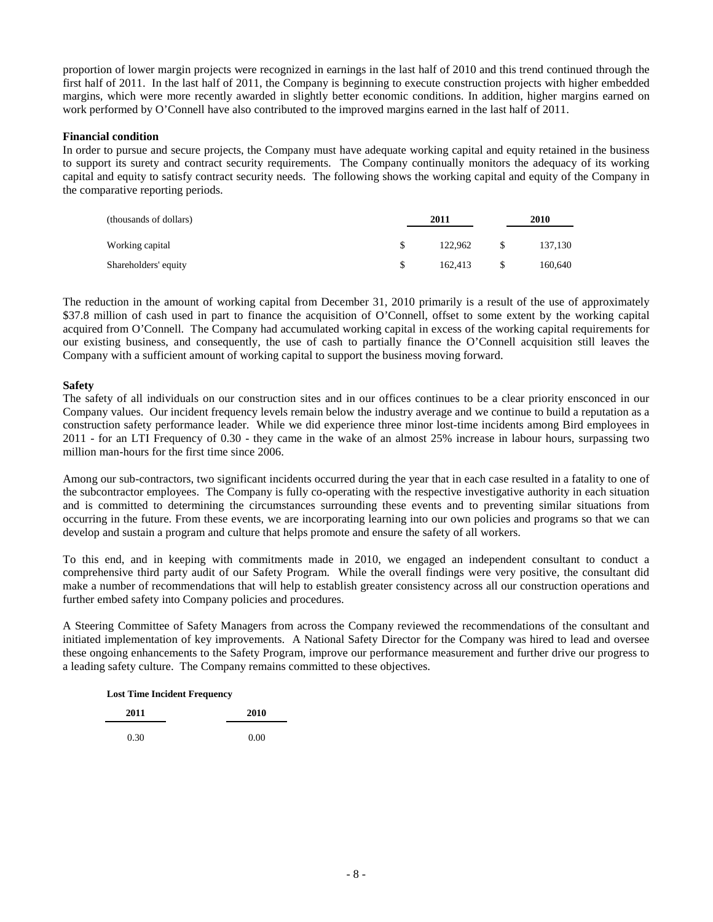proportion of lower margin projects were recognized in earnings in the last half of 2010 and this trend continued through the first half of 2011. In the last half of 2011, the Company is beginning to execute construction projects with higher embedded margins, which were more recently awarded in slightly better economic conditions. In addition, higher margins earned on work performed by O'Connell have also contributed to the improved margins earned in the last half of 2011.

#### **Financial condition**

In order to pursue and secure projects, the Company must have adequate working capital and equity retained in the business to support its surety and contract security requirements. The Company continually monitors the adequacy of its working capital and equity to satisfy contract security needs. The following shows the working capital and equity of the Company in the comparative reporting periods.

| (thousands of dollars) | 2011    |  |         |
|------------------------|---------|--|---------|
| Working capital        | 122,962 |  | 137.130 |
| Shareholders' equity   | 162.413 |  | 160,640 |

The reduction in the amount of working capital from December 31, 2010 primarily is a result of the use of approximately \$37.8 million of cash used in part to finance the acquisition of O'Connell, offset to some extent by the working capital acquired from O'Connell. The Company had accumulated working capital in excess of the working capital requirements for our existing business, and consequently, the use of cash to partially finance the O'Connell acquisition still leaves the Company with a sufficient amount of working capital to support the business moving forward.

#### **Safety**

The safety of all individuals on our construction sites and in our offices continues to be a clear priority ensconced in our Company values. Our incident frequency levels remain below the industry average and we continue to build a reputation as a construction safety performance leader. While we did experience three minor lost-time incidents among Bird employees in 2011 - for an LTI Frequency of 0.30 - they came in the wake of an almost 25% increase in labour hours, surpassing two million man-hours for the first time since 2006.

Among our sub-contractors, two significant incidents occurred during the year that in each case resulted in a fatality to one of the subcontractor employees. The Company is fully co-operating with the respective investigative authority in each situation and is committed to determining the circumstances surrounding these events and to preventing similar situations from occurring in the future. From these events, we are incorporating learning into our own policies and programs so that we can develop and sustain a program and culture that helps promote and ensure the safety of all workers.

To this end, and in keeping with commitments made in 2010, we engaged an independent consultant to conduct a comprehensive third party audit of our Safety Program. While the overall findings were very positive, the consultant did make a number of recommendations that will help to establish greater consistency across all our construction operations and further embed safety into Company policies and procedures.

A Steering Committee of Safety Managers from across the Company reviewed the recommendations of the consultant and initiated implementation of key improvements. A National Safety Director for the Company was hired to lead and oversee these ongoing enhancements to the Safety Program, improve our performance measurement and further drive our progress to a leading safety culture. The Company remains committed to these objectives.

| 2011 | 2010 |  |
|------|------|--|
| 0.30 | 0.00 |  |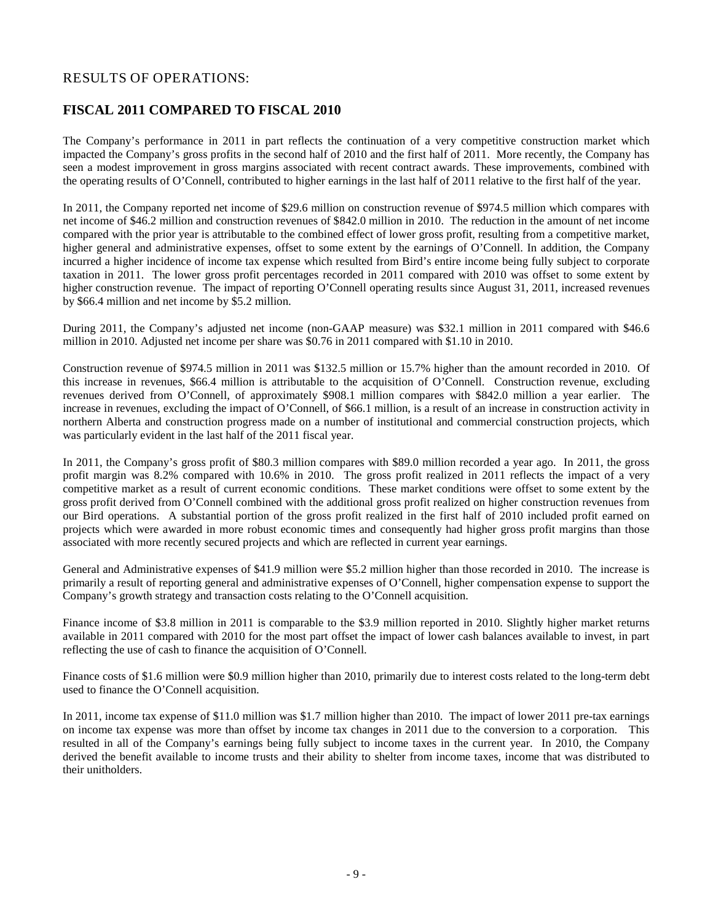# RESULTS OF OPERATIONS:

## **FISCAL 2011 COMPARED TO FISCAL 2010**

The Company's performance in 2011 in part reflects the continuation of a very competitive construction market which impacted the Company's gross profits in the second half of 2010 and the first half of 2011. More recently, the Company has seen a modest improvement in gross margins associated with recent contract awards. These improvements, combined with the operating results of O'Connell, contributed to higher earnings in the last half of 2011 relative to the first half of the year.

In 2011, the Company reported net income of \$29.6 million on construction revenue of \$974.5 million which compares with net income of \$46.2 million and construction revenues of \$842.0 million in 2010. The reduction in the amount of net income compared with the prior year is attributable to the combined effect of lower gross profit, resulting from a competitive market, higher general and administrative expenses, offset to some extent by the earnings of O'Connell. In addition, the Company incurred a higher incidence of income tax expense which resulted from Bird's entire income being fully subject to corporate taxation in 2011. The lower gross profit percentages recorded in 2011 compared with 2010 was offset to some extent by higher construction revenue. The impact of reporting O'Connell operating results since August 31, 2011, increased revenues by \$66.4 million and net income by \$5.2 million.

During 2011, the Company's adjusted net income (non-GAAP measure) was \$32.1 million in 2011 compared with \$46.6 million in 2010. Adjusted net income per share was \$0.76 in 2011 compared with \$1.10 in 2010.

Construction revenue of \$974.5 million in 2011 was \$132.5 million or 15.7% higher than the amount recorded in 2010. Of this increase in revenues, \$66.4 million is attributable to the acquisition of O'Connell. Construction revenue, excluding revenues derived from O'Connell, of approximately \$908.1 million compares with \$842.0 million a year earlier. The increase in revenues, excluding the impact of O'Connell, of \$66.1 million, is a result of an increase in construction activity in northern Alberta and construction progress made on a number of institutional and commercial construction projects, which was particularly evident in the last half of the 2011 fiscal year.

In 2011, the Company's gross profit of \$80.3 million compares with \$89.0 million recorded a year ago. In 2011, the gross profit margin was 8.2% compared with 10.6% in 2010. The gross profit realized in 2011 reflects the impact of a very competitive market as a result of current economic conditions. These market conditions were offset to some extent by the gross profit derived from O'Connell combined with the additional gross profit realized on higher construction revenues from our Bird operations. A substantial portion of the gross profit realized in the first half of 2010 included profit earned on projects which were awarded in more robust economic times and consequently had higher gross profit margins than those associated with more recently secured projects and which are reflected in current year earnings.

General and Administrative expenses of \$41.9 million were \$5.2 million higher than those recorded in 2010. The increase is primarily a result of reporting general and administrative expenses of O'Connell, higher compensation expense to support the Company's growth strategy and transaction costs relating to the O'Connell acquisition.

Finance income of \$3.8 million in 2011 is comparable to the \$3.9 million reported in 2010. Slightly higher market returns available in 2011 compared with 2010 for the most part offset the impact of lower cash balances available to invest, in part reflecting the use of cash to finance the acquisition of O'Connell.

Finance costs of \$1.6 million were \$0.9 million higher than 2010, primarily due to interest costs related to the long-term debt used to finance the O'Connell acquisition.

In 2011, income tax expense of \$11.0 million was \$1.7 million higher than 2010. The impact of lower 2011 pre-tax earnings on income tax expense was more than offset by income tax changes in 2011 due to the conversion to a corporation. This resulted in all of the Company's earnings being fully subject to income taxes in the current year. In 2010, the Company derived the benefit available to income trusts and their ability to shelter from income taxes, income that was distributed to their unitholders.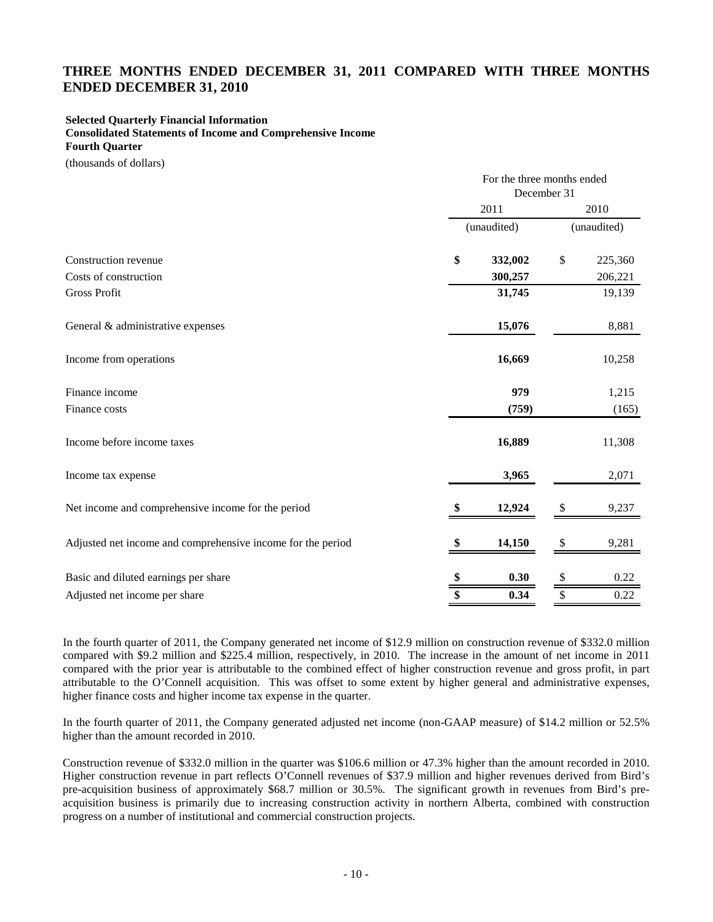## **THREE MONTHS ENDED DECEMBER 31, 2011 COMPARED WITH THREE MONTHS ENDED DECEMBER 31, 2010**

#### **Selected Quarterly Financial Information**

**Consolidated Statements of Income and Comprehensive Income Fourth Quarter**

(thousands of dollars)

|                                                             | For the three months ended<br>December 31 |             |             |         |  |
|-------------------------------------------------------------|-------------------------------------------|-------------|-------------|---------|--|
|                                                             | 2011                                      |             |             | 2010    |  |
|                                                             |                                           | (unaudited) | (unaudited) |         |  |
| Construction revenue                                        | \$                                        | 332,002     | \$          | 225,360 |  |
| Costs of construction                                       |                                           | 300,257     |             | 206,221 |  |
| <b>Gross Profit</b>                                         |                                           | 31,745      |             | 19,139  |  |
| General & administrative expenses                           |                                           | 15,076      |             | 8,881   |  |
| Income from operations                                      |                                           | 16,669      |             | 10,258  |  |
| Finance income                                              |                                           | 979         |             | 1,215   |  |
| Finance costs                                               |                                           | (759)       |             | (165)   |  |
| Income before income taxes                                  |                                           | 16,889      |             | 11,308  |  |
| Income tax expense                                          |                                           | 3,965       |             | 2,071   |  |
| Net income and comprehensive income for the period          |                                           | 12,924      | S           | 9,237   |  |
| Adjusted net income and comprehensive income for the period |                                           | 14,150      | \$          | 9,281   |  |
| Basic and diluted earnings per share                        |                                           | 0.30        | \$          | 0.22    |  |
| Adjusted net income per share                               | \$                                        | 0.34        | \$          | 0.22    |  |

In the fourth quarter of 2011, the Company generated net income of \$12.9 million on construction revenue of \$332.0 million compared with \$9.2 million and \$225.4 million, respectively, in 2010. The increase in the amount of net income in 2011 compared with the prior year is attributable to the combined effect of higher construction revenue and gross profit, in part attributable to the O'Connell acquisition. This was offset to some extent by higher general and administrative expenses, higher finance costs and higher income tax expense in the quarter.

In the fourth quarter of 2011, the Company generated adjusted net income (non-GAAP measure) of \$14.2 million or 52.5% higher than the amount recorded in 2010.

Construction revenue of \$332.0 million in the quarter was \$106.6 million or 47.3% higher than the amount recorded in 2010. Higher construction revenue in part reflects O'Connell revenues of \$37.9 million and higher revenues derived from Bird's pre-acquisition business of approximately \$68.7 million or 30.5%. The significant growth in revenues from Bird's preacquisition business is primarily due to increasing construction activity in northern Alberta, combined with construction progress on a number of institutional and commercial construction projects.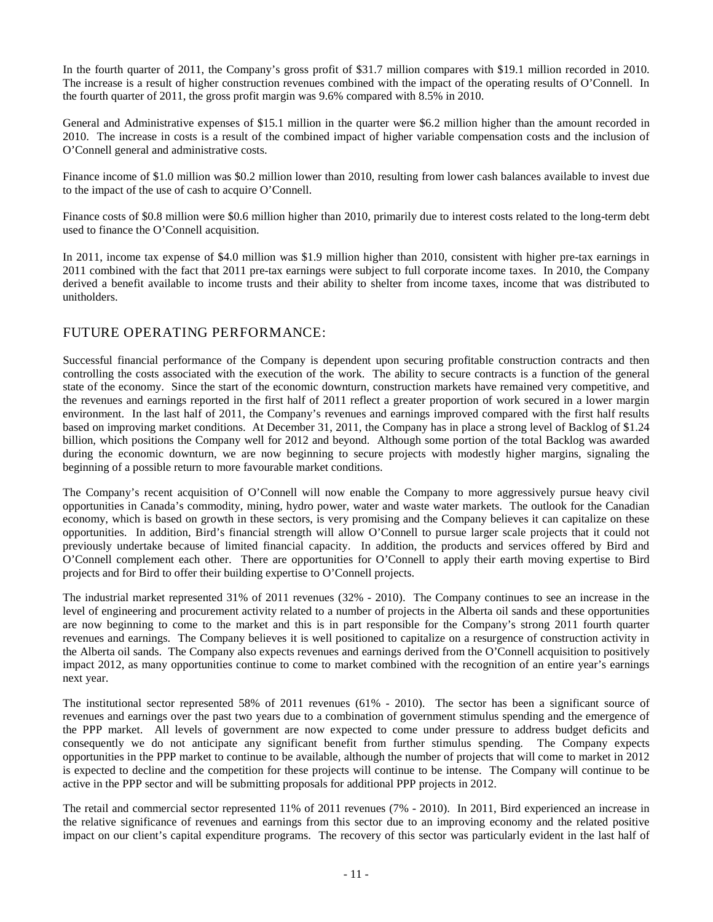In the fourth quarter of 2011, the Company's gross profit of \$31.7 million compares with \$19.1 million recorded in 2010. The increase is a result of higher construction revenues combined with the impact of the operating results of O'Connell. In the fourth quarter of 2011, the gross profit margin was 9.6% compared with 8.5% in 2010.

General and Administrative expenses of \$15.1 million in the quarter were \$6.2 million higher than the amount recorded in 2010. The increase in costs is a result of the combined impact of higher variable compensation costs and the inclusion of O'Connell general and administrative costs.

Finance income of \$1.0 million was \$0.2 million lower than 2010, resulting from lower cash balances available to invest due to the impact of the use of cash to acquire O'Connell.

Finance costs of \$0.8 million were \$0.6 million higher than 2010, primarily due to interest costs related to the long-term debt used to finance the O'Connell acquisition.

In 2011, income tax expense of \$4.0 million was \$1.9 million higher than 2010, consistent with higher pre-tax earnings in 2011 combined with the fact that 2011 pre-tax earnings were subject to full corporate income taxes. In 2010, the Company derived a benefit available to income trusts and their ability to shelter from income taxes, income that was distributed to unitholders.

## FUTURE OPERATING PERFORMANCE:

Successful financial performance of the Company is dependent upon securing profitable construction contracts and then controlling the costs associated with the execution of the work. The ability to secure contracts is a function of the general state of the economy. Since the start of the economic downturn, construction markets have remained very competitive, and the revenues and earnings reported in the first half of 2011 reflect a greater proportion of work secured in a lower margin environment. In the last half of 2011, the Company's revenues and earnings improved compared with the first half results based on improving market conditions. At December 31, 2011, the Company has in place a strong level of Backlog of \$1.24 billion, which positions the Company well for 2012 and beyond. Although some portion of the total Backlog was awarded during the economic downturn, we are now beginning to secure projects with modestly higher margins, signaling the beginning of a possible return to more favourable market conditions.

The Company's recent acquisition of O'Connell will now enable the Company to more aggressively pursue heavy civil opportunities in Canada's commodity, mining, hydro power, water and waste water markets. The outlook for the Canadian economy, which is based on growth in these sectors, is very promising and the Company believes it can capitalize on these opportunities. In addition, Bird's financial strength will allow O'Connell to pursue larger scale projects that it could not previously undertake because of limited financial capacity. In addition, the products and services offered by Bird and O'Connell complement each other. There are opportunities for O'Connell to apply their earth moving expertise to Bird projects and for Bird to offer their building expertise to O'Connell projects.

The industrial market represented 31% of 2011 revenues (32% - 2010). The Company continues to see an increase in the level of engineering and procurement activity related to a number of projects in the Alberta oil sands and these opportunities are now beginning to come to the market and this is in part responsible for the Company's strong 2011 fourth quarter revenues and earnings. The Company believes it is well positioned to capitalize on a resurgence of construction activity in the Alberta oil sands. The Company also expects revenues and earnings derived from the O'Connell acquisition to positively impact 2012, as many opportunities continue to come to market combined with the recognition of an entire year's earnings next year.

The institutional sector represented 58% of 2011 revenues (61% - 2010). The sector has been a significant source of revenues and earnings over the past two years due to a combination of government stimulus spending and the emergence of the PPP market. All levels of government are now expected to come under pressure to address budget deficits and consequently we do not anticipate any significant benefit from further stimulus spending. The Company expects opportunities in the PPP market to continue to be available, although the number of projects that will come to market in 2012 is expected to decline and the competition for these projects will continue to be intense. The Company will continue to be active in the PPP sector and will be submitting proposals for additional PPP projects in 2012.

The retail and commercial sector represented 11% of 2011 revenues (7% - 2010). In 2011, Bird experienced an increase in the relative significance of revenues and earnings from this sector due to an improving economy and the related positive impact on our client's capital expenditure programs. The recovery of this sector was particularly evident in the last half of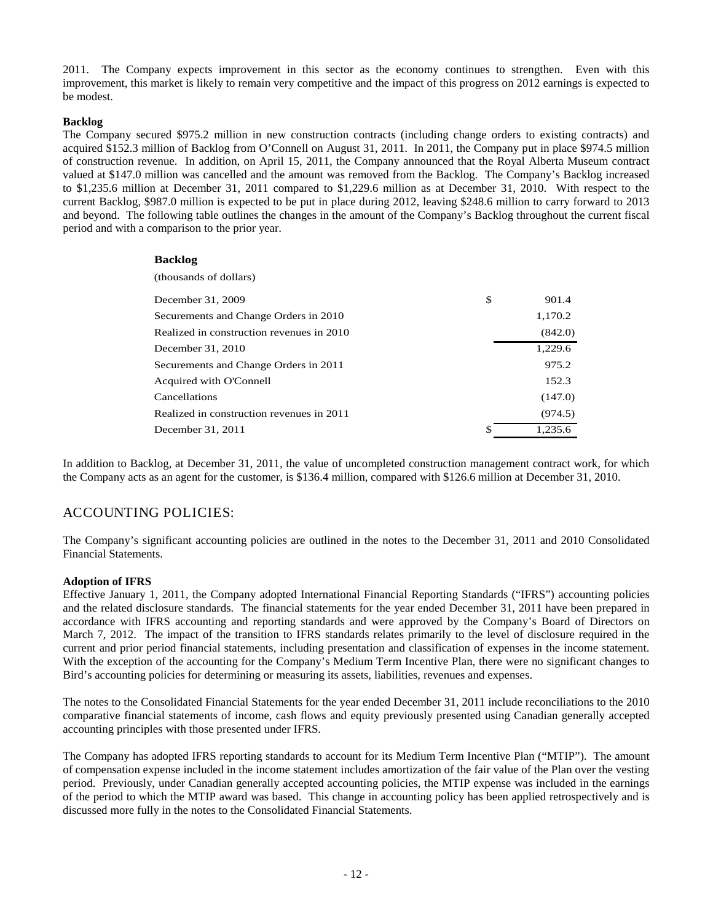2011. The Company expects improvement in this sector as the economy continues to strengthen. Even with this improvement, this market is likely to remain very competitive and the impact of this progress on 2012 earnings is expected to be modest.

### **Backlog**

The Company secured \$975.2 million in new construction contracts (including change orders to existing contracts) and acquired \$152.3 million of Backlog from O'Connell on August 31, 2011. In 2011, the Company put in place \$974.5 million of construction revenue. In addition, on April 15, 2011, the Company announced that the Royal Alberta Museum contract valued at \$147.0 million was cancelled and the amount was removed from the Backlog. The Company's Backlog increased to \$1,235.6 million at December 31, 2011 compared to \$1,229.6 million as at December 31, 2010. With respect to the current Backlog, \$987.0 million is expected to be put in place during 2012, leaving \$248.6 million to carry forward to 2013 and beyond. The following table outlines the changes in the amount of the Company's Backlog throughout the current fiscal period and with a comparison to the prior year.

### **Backlog**

| (thousands of dollars)                    |    |         |
|-------------------------------------------|----|---------|
| December 31, 2009                         | \$ | 901.4   |
| Securements and Change Orders in 2010     |    | 1,170.2 |
| Realized in construction revenues in 2010 |    | (842.0) |
| December 31, 2010                         |    | 1.229.6 |
| Securements and Change Orders in 2011     |    | 975.2   |
| Acquired with O'Connell                   |    | 152.3   |
| Cancellations                             |    | (147.0) |
| Realized in construction revenues in 2011 |    | (974.5) |
| December 31, 2011                         | ፍ  | 1.235.6 |
|                                           |    |         |

In addition to Backlog, at December 31, 2011, the value of uncompleted construction management contract work, for which the Company acts as an agent for the customer, is \$136.4 million, compared with \$126.6 million at December 31, 2010.

# ACCOUNTING POLICIES:

The Company's significant accounting policies are outlined in the notes to the December 31, 2011 and 2010 Consolidated Financial Statements.

### **Adoption of IFRS**

Effective January 1, 2011, the Company adopted International Financial Reporting Standards ("IFRS") accounting policies and the related disclosure standards. The financial statements for the year ended December 31, 2011 have been prepared in accordance with IFRS accounting and reporting standards and were approved by the Company's Board of Directors on March 7, 2012. The impact of the transition to IFRS standards relates primarily to the level of disclosure required in the current and prior period financial statements, including presentation and classification of expenses in the income statement. With the exception of the accounting for the Company's Medium Term Incentive Plan, there were no significant changes to Bird's accounting policies for determining or measuring its assets, liabilities, revenues and expenses.

The notes to the Consolidated Financial Statements for the year ended December 31, 2011 include reconciliations to the 2010 comparative financial statements of income, cash flows and equity previously presented using Canadian generally accepted accounting principles with those presented under IFRS.

The Company has adopted IFRS reporting standards to account for its Medium Term Incentive Plan ("MTIP"). The amount of compensation expense included in the income statement includes amortization of the fair value of the Plan over the vesting period. Previously, under Canadian generally accepted accounting policies, the MTIP expense was included in the earnings of the period to which the MTIP award was based. This change in accounting policy has been applied retrospectively and is discussed more fully in the notes to the Consolidated Financial Statements.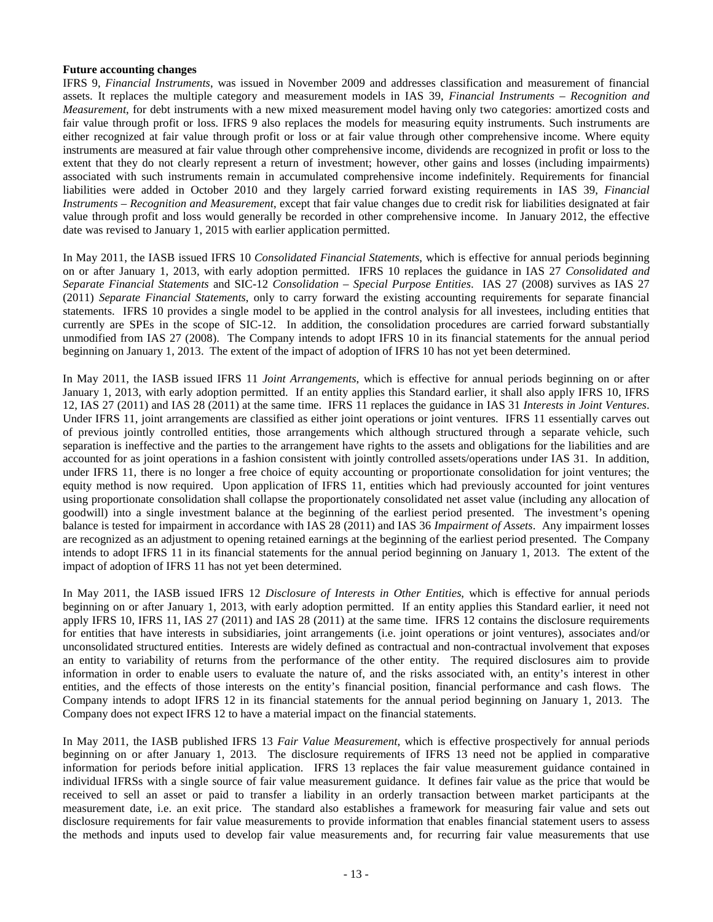#### **Future accounting changes**

IFRS 9, *Financial Instruments*, was issued in November 2009 and addresses classification and measurement of financial assets. It replaces the multiple category and measurement models in IAS 39, *Financial Instruments – Recognition and Measurement*, for debt instruments with a new mixed measurement model having only two categories: amortized costs and fair value through profit or loss. IFRS 9 also replaces the models for measuring equity instruments. Such instruments are either recognized at fair value through profit or loss or at fair value through other comprehensive income. Where equity instruments are measured at fair value through other comprehensive income, dividends are recognized in profit or loss to the extent that they do not clearly represent a return of investment; however, other gains and losses (including impairments) associated with such instruments remain in accumulated comprehensive income indefinitely. Requirements for financial liabilities were added in October 2010 and they largely carried forward existing requirements in IAS 39, *Financial Instruments – Recognition and Measurement*, except that fair value changes due to credit risk for liabilities designated at fair value through profit and loss would generally be recorded in other comprehensive income. In January 2012, the effective date was revised to January 1, 2015 with earlier application permitted.

In May 2011, the IASB issued IFRS 10 *Consolidated Financial Statements*, which is effective for annual periods beginning on or after January 1, 2013, with early adoption permitted. IFRS 10 replaces the guidance in IAS 27 *Consolidated and Separate Financial Statements* and SIC-12 *Consolidation – Special Purpose Entities*. IAS 27 (2008) survives as IAS 27 (2011) *Separate Financial Statements*, only to carry forward the existing accounting requirements for separate financial statements. IFRS 10 provides a single model to be applied in the control analysis for all investees, including entities that currently are SPEs in the scope of SIC-12. In addition, the consolidation procedures are carried forward substantially unmodified from IAS 27 (2008). The Company intends to adopt IFRS 10 in its financial statements for the annual period beginning on January 1, 2013. The extent of the impact of adoption of IFRS 10 has not yet been determined.

In May 2011, the IASB issued IFRS 11 *Joint Arrangements*, which is effective for annual periods beginning on or after January 1, 2013, with early adoption permitted. If an entity applies this Standard earlier, it shall also apply IFRS 10, IFRS 12, IAS 27 (2011) and IAS 28 (2011) at the same time. IFRS 11 replaces the guidance in IAS 31 *Interests in Joint Ventures*. Under IFRS 11, joint arrangements are classified as either joint operations or joint ventures. IFRS 11 essentially carves out of previous jointly controlled entities, those arrangements which although structured through a separate vehicle, such separation is ineffective and the parties to the arrangement have rights to the assets and obligations for the liabilities and are accounted for as joint operations in a fashion consistent with jointly controlled assets/operations under IAS 31. In addition, under IFRS 11, there is no longer a free choice of equity accounting or proportionate consolidation for joint ventures; the equity method is now required. Upon application of IFRS 11, entities which had previously accounted for joint ventures using proportionate consolidation shall collapse the proportionately consolidated net asset value (including any allocation of goodwill) into a single investment balance at the beginning of the earliest period presented. The investment's opening balance is tested for impairment in accordance with IAS 28 (2011) and IAS 36 *Impairment of Assets*. Any impairment losses are recognized as an adjustment to opening retained earnings at the beginning of the earliest period presented. The Company intends to adopt IFRS 11 in its financial statements for the annual period beginning on January 1, 2013. The extent of the impact of adoption of IFRS 11 has not yet been determined.

In May 2011, the IASB issued IFRS 12 *Disclosure of Interests in Other Entities*, which is effective for annual periods beginning on or after January 1, 2013, with early adoption permitted. If an entity applies this Standard earlier, it need not apply IFRS 10, IFRS 11, IAS 27 (2011) and IAS 28 (2011) at the same time. IFRS 12 contains the disclosure requirements for entities that have interests in subsidiaries, joint arrangements (i.e. joint operations or joint ventures), associates and/or unconsolidated structured entities. Interests are widely defined as contractual and non-contractual involvement that exposes an entity to variability of returns from the performance of the other entity. The required disclosures aim to provide information in order to enable users to evaluate the nature of, and the risks associated with, an entity's interest in other entities, and the effects of those interests on the entity's financial position, financial performance and cash flows. The Company intends to adopt IFRS 12 in its financial statements for the annual period beginning on January 1, 2013. The Company does not expect IFRS 12 to have a material impact on the financial statements.

In May 2011, the IASB published IFRS 13 *Fair Value Measurement*, which is effective prospectively for annual periods beginning on or after January 1, 2013. The disclosure requirements of IFRS 13 need not be applied in comparative information for periods before initial application. IFRS 13 replaces the fair value measurement guidance contained in individual IFRSs with a single source of fair value measurement guidance. It defines fair value as the price that would be received to sell an asset or paid to transfer a liability in an orderly transaction between market participants at the measurement date, i.e. an exit price. The standard also establishes a framework for measuring fair value and sets out disclosure requirements for fair value measurements to provide information that enables financial statement users to assess the methods and inputs used to develop fair value measurements and, for recurring fair value measurements that use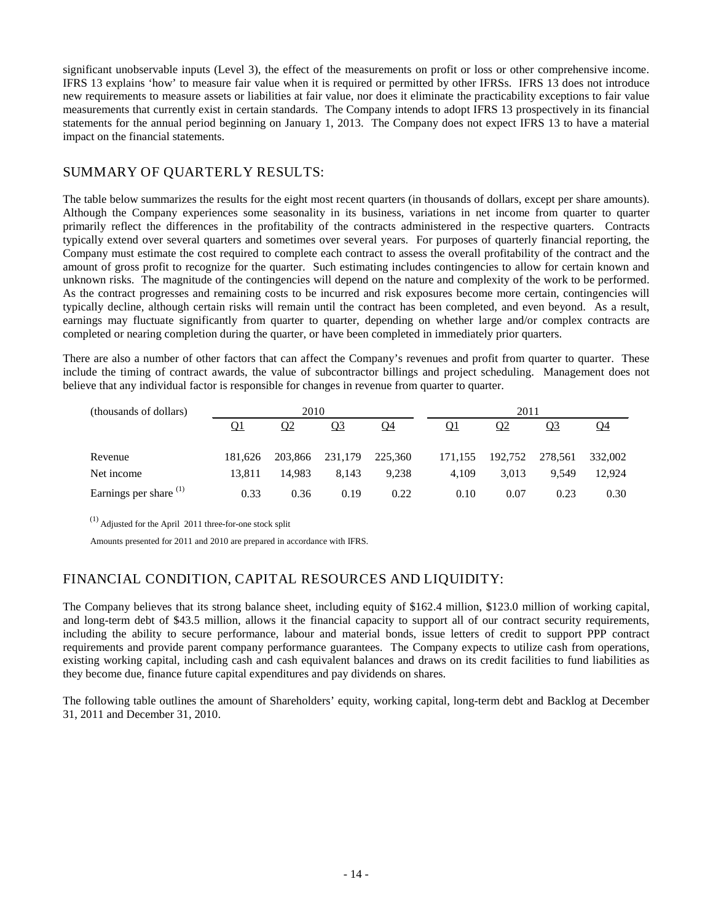significant unobservable inputs (Level 3), the effect of the measurements on profit or loss or other comprehensive income. IFRS 13 explains 'how' to measure fair value when it is required or permitted by other IFRSs. IFRS 13 does not introduce new requirements to measure assets or liabilities at fair value, nor does it eliminate the practicability exceptions to fair value measurements that currently exist in certain standards. The Company intends to adopt IFRS 13 prospectively in its financial statements for the annual period beginning on January 1, 2013. The Company does not expect IFRS 13 to have a material impact on the financial statements.

# SUMMARY OF QUARTERLY RESULTS:

The table below summarizes the results for the eight most recent quarters (in thousands of dollars, except per share amounts). Although the Company experiences some seasonality in its business, variations in net income from quarter to quarter primarily reflect the differences in the profitability of the contracts administered in the respective quarters. Contracts typically extend over several quarters and sometimes over several years. For purposes of quarterly financial reporting, the Company must estimate the cost required to complete each contract to assess the overall profitability of the contract and the amount of gross profit to recognize for the quarter. Such estimating includes contingencies to allow for certain known and unknown risks. The magnitude of the contingencies will depend on the nature and complexity of the work to be performed. As the contract progresses and remaining costs to be incurred and risk exposures become more certain, contingencies will typically decline, although certain risks will remain until the contract has been completed, and even beyond. As a result, earnings may fluctuate significantly from quarter to quarter, depending on whether large and/or complex contracts are completed or nearing completion during the quarter, or have been completed in immediately prior quarters.

There are also a number of other factors that can affect the Company's revenues and profit from quarter to quarter. These include the timing of contract awards, the value of subcontractor billings and project scheduling. Management does not believe that any individual factor is responsible for changes in revenue from quarter to quarter.

| (thousands of dollars)            | 2010    |         |           |         |         |           |           |           |
|-----------------------------------|---------|---------|-----------|---------|---------|-----------|-----------|-----------|
|                                   | Q1      | Q2      | <u>Q3</u> | Q4      | Q1      | <u>02</u> | <u>Q3</u> | <u>04</u> |
| Revenue                           | 181.626 | 203,866 | 231,179   | 225,360 | 171.155 | 192.752   | 278,561   | 332,002   |
| Net income                        | 13.811  | 14.983  | 8.143     | 9.238   | 4.109   | 3.013     | 9.549     | 12.924    |
| Earnings per share <sup>(1)</sup> | 0.33    | 0.36    | 0.19      | 0.22    | 0.10    | 0.07      | 0.23      | 0.30      |

(1) Adjusted for the April 2011 three-for-one stock split

Amounts presented for 2011 and 2010 are prepared in accordance with IFRS.

# FINANCIAL CONDITION, CAPITAL RESOURCES AND LIQUIDITY:

The Company believes that its strong balance sheet, including equity of \$162.4 million, \$123.0 million of working capital, and long-term debt of \$43.5 million, allows it the financial capacity to support all of our contract security requirements, including the ability to secure performance, labour and material bonds, issue letters of credit to support PPP contract requirements and provide parent company performance guarantees. The Company expects to utilize cash from operations, existing working capital, including cash and cash equivalent balances and draws on its credit facilities to fund liabilities as they become due, finance future capital expenditures and pay dividends on shares.

The following table outlines the amount of Shareholders' equity, working capital, long-term debt and Backlog at December 31, 2011 and December 31, 2010.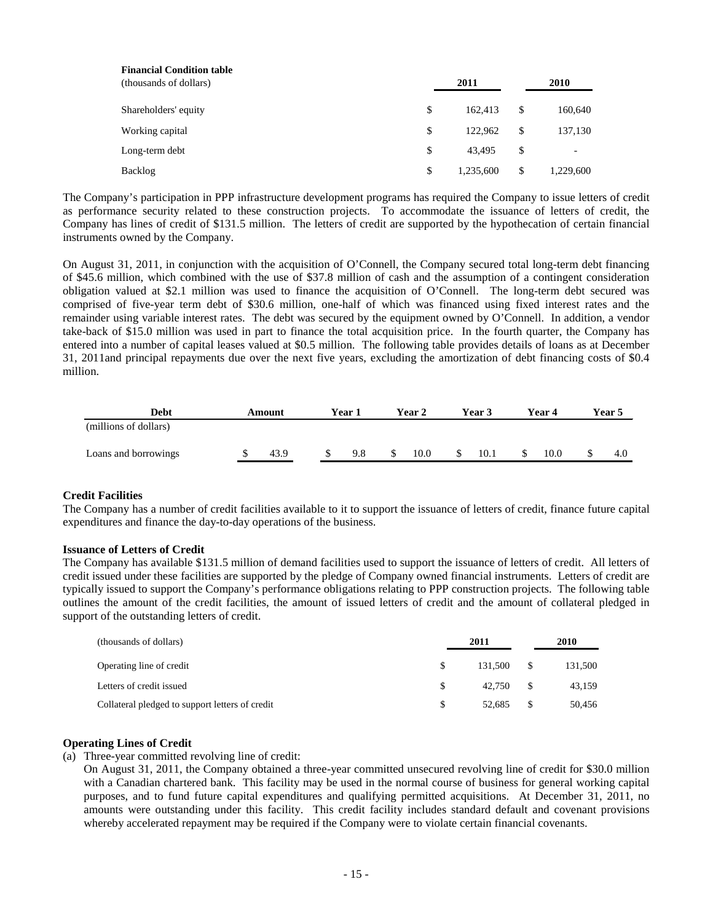| <b>Financial Condition table</b><br>(thousands of dollars) | 2011 |           |    | 2010      |  |  |
|------------------------------------------------------------|------|-----------|----|-----------|--|--|
| Shareholders' equity                                       | \$   | 162,413   | \$ | 160,640   |  |  |
| Working capital                                            | \$   | 122.962   | \$ | 137,130   |  |  |
| Long-term debt                                             | \$   | 43.495    | \$ | -         |  |  |
| Backlog                                                    | \$   | 1.235.600 | \$ | 1,229,600 |  |  |

The Company's participation in PPP infrastructure development programs has required the Company to issue letters of credit as performance security related to these construction projects. To accommodate the issuance of letters of credit, the Company has lines of credit of \$131.5 million. The letters of credit are supported by the hypothecation of certain financial instruments owned by the Company.

On August 31, 2011, in conjunction with the acquisition of O'Connell, the Company secured total long-term debt financing of \$45.6 million, which combined with the use of \$37.8 million of cash and the assumption of a contingent consideration obligation valued at \$2.1 million was used to finance the acquisition of O'Connell. The long-term debt secured was comprised of five-year term debt of \$30.6 million, one-half of which was financed using fixed interest rates and the remainder using variable interest rates. The debt was secured by the equipment owned by O'Connell. In addition, a vendor take-back of \$15.0 million was used in part to finance the total acquisition price. In the fourth quarter, the Company has entered into a number of capital leases valued at \$0.5 million. The following table provides details of loans as at December 31, 2011and principal repayments due over the next five years, excluding the amortization of debt financing costs of \$0.4 million.

| Debt                  | Amount | Year 1 |     | <b>Year 2</b> | Year 3 | Year 4 | Year 5 |     |
|-----------------------|--------|--------|-----|---------------|--------|--------|--------|-----|
| (millions of dollars) |        |        |     |               |        |        |        |     |
| Loans and borrowings  | 43.9   |        | 9.8 | 10.0          | 10.1   | 10.0   |        | 4.0 |

### **Credit Facilities**

The Company has a number of credit facilities available to it to support the issuance of letters of credit, finance future capital expenditures and finance the day-to-day operations of the business.

#### **Issuance of Letters of Credit**

The Company has available \$131.5 million of demand facilities used to support the issuance of letters of credit. All letters of credit issued under these facilities are supported by the pledge of Company owned financial instruments. Letters of credit are typically issued to support the Company's performance obligations relating to PPP construction projects. The following table outlines the amount of the credit facilities, the amount of issued letters of credit and the amount of collateral pledged in support of the outstanding letters of credit.

| (thousands of dollars)                          | 2011 |         |            | 2010    |  |  |
|-------------------------------------------------|------|---------|------------|---------|--|--|
| Operating line of credit                        | \$.  | 131.500 | $^{\circ}$ | 131,500 |  |  |
| Letters of credit issued                        |      | 42.750  |            | 43,159  |  |  |
| Collateral pledged to support letters of credit | -S   | 52.685  | - \$       | 50,456  |  |  |

#### **Operating Lines of Credit**

(a) Three-year committed revolving line of credit:

On August 31, 2011, the Company obtained a three-year committed unsecured revolving line of credit for \$30.0 million with a Canadian chartered bank. This facility may be used in the normal course of business for general working capital purposes, and to fund future capital expenditures and qualifying permitted acquisitions. At December 31, 2011, no amounts were outstanding under this facility. This credit facility includes standard default and covenant provisions whereby accelerated repayment may be required if the Company were to violate certain financial covenants.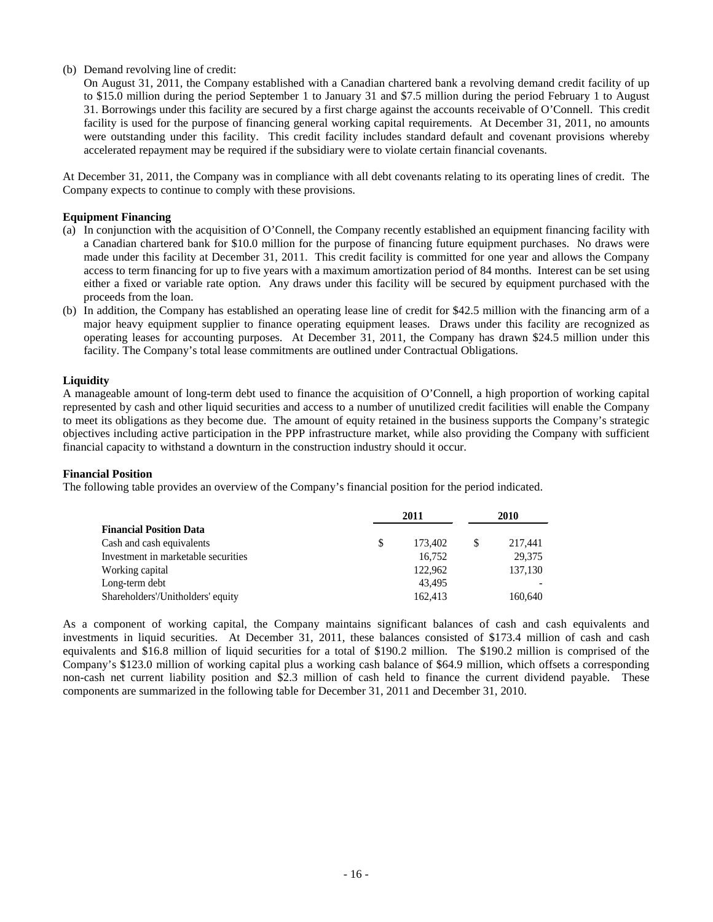### (b) Demand revolving line of credit:

On August 31, 2011, the Company established with a Canadian chartered bank a revolving demand credit facility of up to \$15.0 million during the period September 1 to January 31 and \$7.5 million during the period February 1 to August 31. Borrowings under this facility are secured by a first charge against the accounts receivable of O'Connell. This credit facility is used for the purpose of financing general working capital requirements. At December 31, 2011, no amounts were outstanding under this facility. This credit facility includes standard default and covenant provisions whereby accelerated repayment may be required if the subsidiary were to violate certain financial covenants.

At December 31, 2011, the Company was in compliance with all debt covenants relating to its operating lines of credit. The Company expects to continue to comply with these provisions.

#### **Equipment Financing**

- (a) In conjunction with the acquisition of O'Connell, the Company recently established an equipment financing facility with a Canadian chartered bank for \$10.0 million for the purpose of financing future equipment purchases. No draws were made under this facility at December 31, 2011. This credit facility is committed for one year and allows the Company access to term financing for up to five years with a maximum amortization period of 84 months. Interest can be set using either a fixed or variable rate option. Any draws under this facility will be secured by equipment purchased with the proceeds from the loan.
- (b) In addition, the Company has established an operating lease line of credit for \$42.5 million with the financing arm of a major heavy equipment supplier to finance operating equipment leases. Draws under this facility are recognized as operating leases for accounting purposes. At December 31, 2011, the Company has drawn \$24.5 million under this facility. The Company's total lease commitments are outlined under Contractual Obligations.

#### **Liquidity**

A manageable amount of long-term debt used to finance the acquisition of O'Connell, a high proportion of working capital represented by cash and other liquid securities and access to a number of unutilized credit facilities will enable the Company to meet its obligations as they become due. The amount of equity retained in the business supports the Company's strategic objectives including active participation in the PPP infrastructure market, while also providing the Company with sufficient financial capacity to withstand a downturn in the construction industry should it occur.

#### **Financial Position**

The following table provides an overview of the Company's financial position for the period indicated.

|                                     | 2011     |         |   | 2010    |  |  |
|-------------------------------------|----------|---------|---|---------|--|--|
| <b>Financial Position Data</b>      |          |         |   |         |  |  |
| Cash and cash equivalents           | <b>S</b> | 173,402 | S | 217,441 |  |  |
| Investment in marketable securities |          | 16,752  |   | 29,375  |  |  |
| Working capital                     |          | 122,962 |   | 137,130 |  |  |
| Long-term debt                      |          | 43.495  |   |         |  |  |
| Shareholders'/Unitholders' equity   |          | 162.413 |   | 160,640 |  |  |

As a component of working capital, the Company maintains significant balances of cash and cash equivalents and investments in liquid securities. At December 31, 2011, these balances consisted of \$173.4 million of cash and cash equivalents and \$16.8 million of liquid securities for a total of \$190.2 million. The \$190.2 million is comprised of the Company's \$123.0 million of working capital plus a working cash balance of \$64.9 million, which offsets a corresponding non-cash net current liability position and \$2.3 million of cash held to finance the current dividend payable. These components are summarized in the following table for December 31, 2011 and December 31, 2010.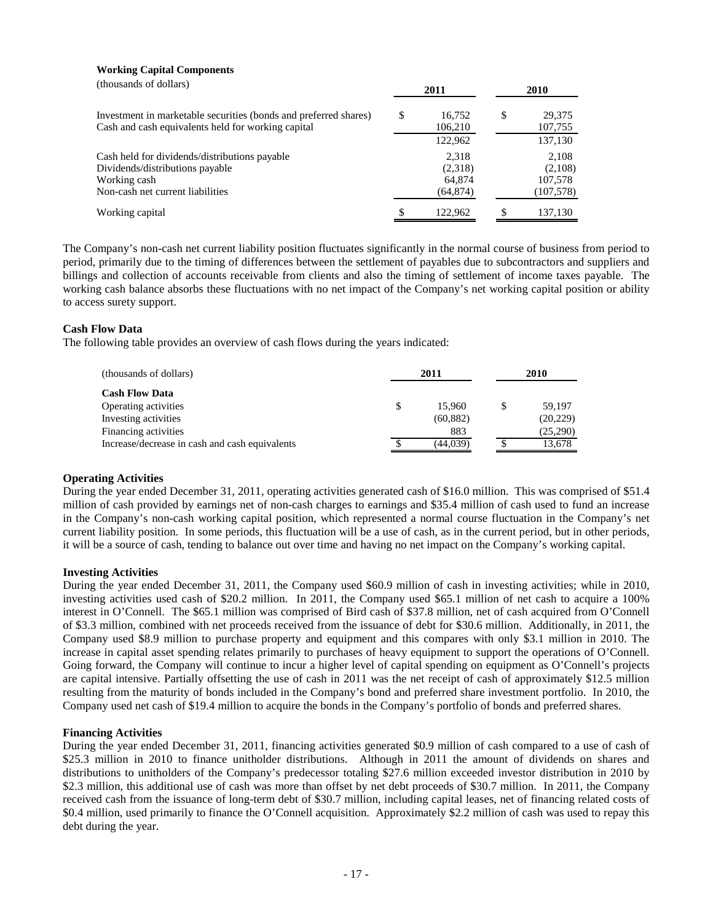#### **Working Capital Components**

| (thousands of dollars)                                                                                                               | 2011                                    |    | <b>2010</b>                               |  |  |
|--------------------------------------------------------------------------------------------------------------------------------------|-----------------------------------------|----|-------------------------------------------|--|--|
| Investment in marketable securities (bonds and preferred shares)<br>Cash and cash equivalents held for working capital               | \$<br>16,752<br>106,210                 | \$ | 29,375<br>107,755                         |  |  |
|                                                                                                                                      | 122,962                                 |    | 137,130                                   |  |  |
| Cash held for dividends/distributions payable<br>Dividends/distributions payable<br>Working cash<br>Non-cash net current liabilities | 2.318<br>(2,318)<br>64,874<br>(64, 874) |    | 2,108<br>(2,108)<br>107,578<br>(107, 578) |  |  |
| Working capital                                                                                                                      | 122,962                                 | S  | 137,130                                   |  |  |

The Company's non-cash net current liability position fluctuates significantly in the normal course of business from period to period, primarily due to the timing of differences between the settlement of payables due to subcontractors and suppliers and billings and collection of accounts receivable from clients and also the timing of settlement of income taxes payable. The working cash balance absorbs these fluctuations with no net impact of the Company's net working capital position or ability to access surety support.

#### **Cash Flow Data**

The following table provides an overview of cash flows during the years indicated:

| (thousands of dollars)                         |   | 2010      |          |  |
|------------------------------------------------|---|-----------|----------|--|
| <b>Cash Flow Data</b>                          |   |           |          |  |
| Operating activities                           | S | 15.960    | 59.197   |  |
| Investing activities                           |   | (60, 882) | (20,229) |  |
| Financing activities                           |   | 883       | (25,290) |  |
| Increase/decrease in cash and cash equivalents |   | (44,039)  | 13,678   |  |

### **Operating Activities**

During the year ended December 31, 2011, operating activities generated cash of \$16.0 million. This was comprised of \$51.4 million of cash provided by earnings net of non-cash charges to earnings and \$35.4 million of cash used to fund an increase in the Company's non-cash working capital position, which represented a normal course fluctuation in the Company's net current liability position. In some periods, this fluctuation will be a use of cash, as in the current period, but in other periods, it will be a source of cash, tending to balance out over time and having no net impact on the Company's working capital.

#### **Investing Activities**

During the year ended December 31, 2011, the Company used \$60.9 million of cash in investing activities; while in 2010, investing activities used cash of \$20.2 million. In 2011, the Company used \$65.1 million of net cash to acquire a 100% interest in O'Connell. The \$65.1 million was comprised of Bird cash of \$37.8 million, net of cash acquired from O'Connell of \$3.3 million, combined with net proceeds received from the issuance of debt for \$30.6 million. Additionally, in 2011, the Company used \$8.9 million to purchase property and equipment and this compares with only \$3.1 million in 2010. The increase in capital asset spending relates primarily to purchases of heavy equipment to support the operations of O'Connell. Going forward, the Company will continue to incur a higher level of capital spending on equipment as O'Connell's projects are capital intensive. Partially offsetting the use of cash in 2011 was the net receipt of cash of approximately \$12.5 million resulting from the maturity of bonds included in the Company's bond and preferred share investment portfolio. In 2010, the Company used net cash of \$19.4 million to acquire the bonds in the Company's portfolio of bonds and preferred shares.

#### **Financing Activities**

During the year ended December 31, 2011, financing activities generated \$0.9 million of cash compared to a use of cash of \$25.3 million in 2010 to finance unitholder distributions. Although in 2011 the amount of dividends on shares and distributions to unitholders of the Company's predecessor totaling \$27.6 million exceeded investor distribution in 2010 by \$2.3 million, this additional use of cash was more than offset by net debt proceeds of \$30.7 million. In 2011, the Company received cash from the issuance of long-term debt of \$30.7 million, including capital leases, net of financing related costs of \$0.4 million, used primarily to finance the O'Connell acquisition. Approximately \$2.2 million of cash was used to repay this debt during the year.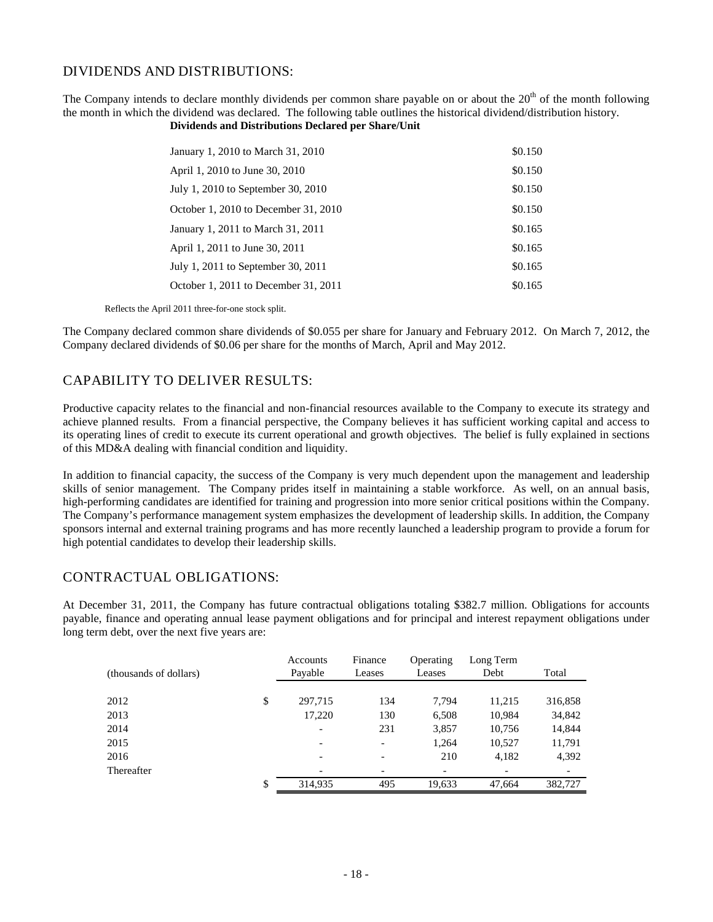## DIVIDENDS AND DISTRIBUTIONS:

The Company intends to declare monthly dividends per common share payable on or about the  $20<sup>th</sup>$  of the month following the month in which the dividend was declared. The following table outlines the historical dividend/distribution history. **Dividends and Distributions Declared per Share/Unit**

| January 1, 2010 to March 31, 2010    | \$0.150 |
|--------------------------------------|---------|
| April 1, 2010 to June 30, 2010       | \$0.150 |
| July 1, 2010 to September 30, 2010   | \$0.150 |
| October 1, 2010 to December 31, 2010 | \$0.150 |
| January 1, 2011 to March 31, 2011    | \$0.165 |
| April 1, 2011 to June 30, 2011       | \$0.165 |
| July 1, 2011 to September 30, 2011   | \$0.165 |
| October 1, 2011 to December 31, 2011 | \$0.165 |

Reflects the April 2011 three-for-one stock split.

The Company declared common share dividends of \$0.055 per share for January and February 2012. On March 7, 2012, the Company declared dividends of \$0.06 per share for the months of March, April and May 2012.

## CAPABILITY TO DELIVER RESULTS:

Productive capacity relates to the financial and non-financial resources available to the Company to execute its strategy and achieve planned results. From a financial perspective, the Company believes it has sufficient working capital and access to its operating lines of credit to execute its current operational and growth objectives. The belief is fully explained in sections of this MD&A dealing with financial condition and liquidity.

In addition to financial capacity, the success of the Company is very much dependent upon the management and leadership skills of senior management. The Company prides itself in maintaining a stable workforce. As well, on an annual basis, high-performing candidates are identified for training and progression into more senior critical positions within the Company. The Company's performance management system emphasizes the development of leadership skills. In addition, the Company sponsors internal and external training programs and has more recently launched a leadership program to provide a forum for high potential candidates to develop their leadership skills.

### CONTRACTUAL OBLIGATIONS:

At December 31, 2011, the Company has future contractual obligations totaling \$382.7 million. Obligations for accounts payable, finance and operating annual lease payment obligations and for principal and interest repayment obligations under long term debt, over the next five years are:

|                        | Accounts        | Finance                  | Operating                | Long Term |         |
|------------------------|-----------------|--------------------------|--------------------------|-----------|---------|
| (thousands of dollars) | Payable         | Leases                   | Leases                   | Debt      | Total   |
|                        |                 |                          |                          |           |         |
| 2012                   | \$<br>297,715   | 134                      | 7.794                    | 11,215    | 316,858 |
| 2013                   | 17,220          | 130                      | 6,508                    | 10,984    | 34,842  |
| 2014                   |                 | 231                      | 3,857                    | 10,756    | 14,844  |
| 2015                   | $\qquad \qquad$ | $\overline{\phantom{a}}$ | 1,264                    | 10,527    | 11,791  |
| 2016                   |                 |                          | 210                      | 4,182     | 4,392   |
| Thereafter             |                 |                          | $\overline{\phantom{a}}$ |           |         |
|                        | \$<br>314,935   | 495                      | 19,633                   | 47.664    | 382,727 |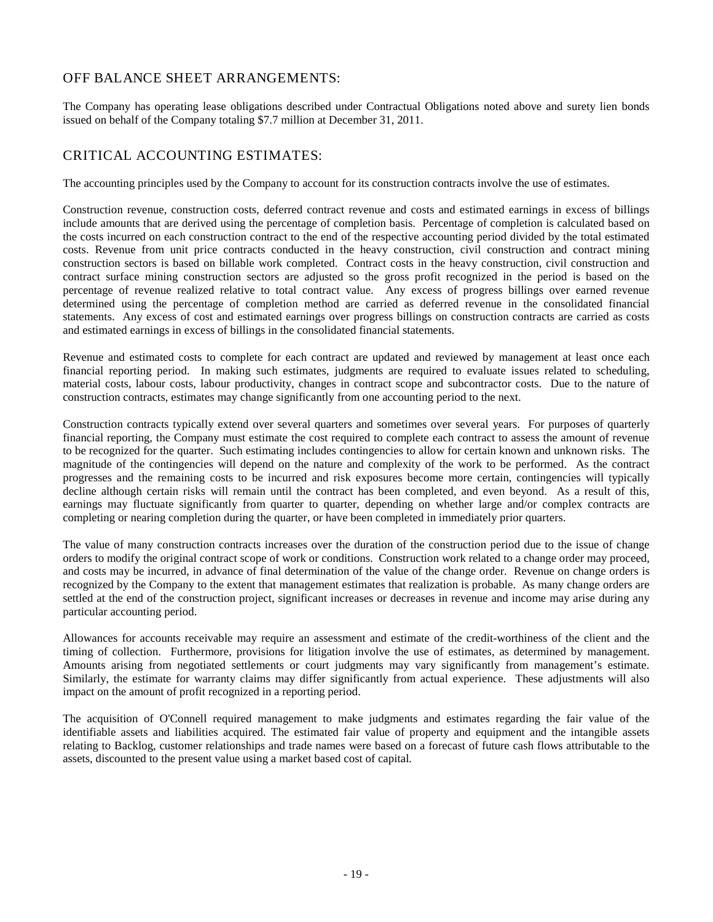# OFF BALANCE SHEET ARRANGEMENTS:

The Company has operating lease obligations described under Contractual Obligations noted above and surety lien bonds issued on behalf of the Company totaling \$7.7 million at December 31, 2011.

# CRITICAL ACCOUNTING ESTIMATES:

The accounting principles used by the Company to account for its construction contracts involve the use of estimates.

Construction revenue, construction costs, deferred contract revenue and costs and estimated earnings in excess of billings include amounts that are derived using the percentage of completion basis. Percentage of completion is calculated based on the costs incurred on each construction contract to the end of the respective accounting period divided by the total estimated costs. Revenue from unit price contracts conducted in the heavy construction, civil construction and contract mining construction sectors is based on billable work completed. Contract costs in the heavy construction, civil construction and contract surface mining construction sectors are adjusted so the gross profit recognized in the period is based on the percentage of revenue realized relative to total contract value. Any excess of progress billings over earned revenue determined using the percentage of completion method are carried as deferred revenue in the consolidated financial statements. Any excess of cost and estimated earnings over progress billings on construction contracts are carried as costs and estimated earnings in excess of billings in the consolidated financial statements.

Revenue and estimated costs to complete for each contract are updated and reviewed by management at least once each financial reporting period. In making such estimates, judgments are required to evaluate issues related to scheduling, material costs, labour costs, labour productivity, changes in contract scope and subcontractor costs. Due to the nature of construction contracts, estimates may change significantly from one accounting period to the next.

Construction contracts typically extend over several quarters and sometimes over several years. For purposes of quarterly financial reporting, the Company must estimate the cost required to complete each contract to assess the amount of revenue to be recognized for the quarter. Such estimating includes contingencies to allow for certain known and unknown risks. The magnitude of the contingencies will depend on the nature and complexity of the work to be performed. As the contract progresses and the remaining costs to be incurred and risk exposures become more certain, contingencies will typically decline although certain risks will remain until the contract has been completed, and even beyond. As a result of this, earnings may fluctuate significantly from quarter to quarter, depending on whether large and/or complex contracts are completing or nearing completion during the quarter, or have been completed in immediately prior quarters.

The value of many construction contracts increases over the duration of the construction period due to the issue of change orders to modify the original contract scope of work or conditions. Construction work related to a change order may proceed, and costs may be incurred, in advance of final determination of the value of the change order. Revenue on change orders is recognized by the Company to the extent that management estimates that realization is probable. As many change orders are settled at the end of the construction project, significant increases or decreases in revenue and income may arise during any particular accounting period.

Allowances for accounts receivable may require an assessment and estimate of the credit-worthiness of the client and the timing of collection. Furthermore, provisions for litigation involve the use of estimates, as determined by management. Amounts arising from negotiated settlements or court judgments may vary significantly from management's estimate. Similarly, the estimate for warranty claims may differ significantly from actual experience. These adjustments will also impact on the amount of profit recognized in a reporting period.

The acquisition of O'Connell required management to make judgments and estimates regarding the fair value of the identifiable assets and liabilities acquired. The estimated fair value of property and equipment and the intangible assets relating to Backlog, customer relationships and trade names were based on a forecast of future cash flows attributable to the assets, discounted to the present value using a market based cost of capital.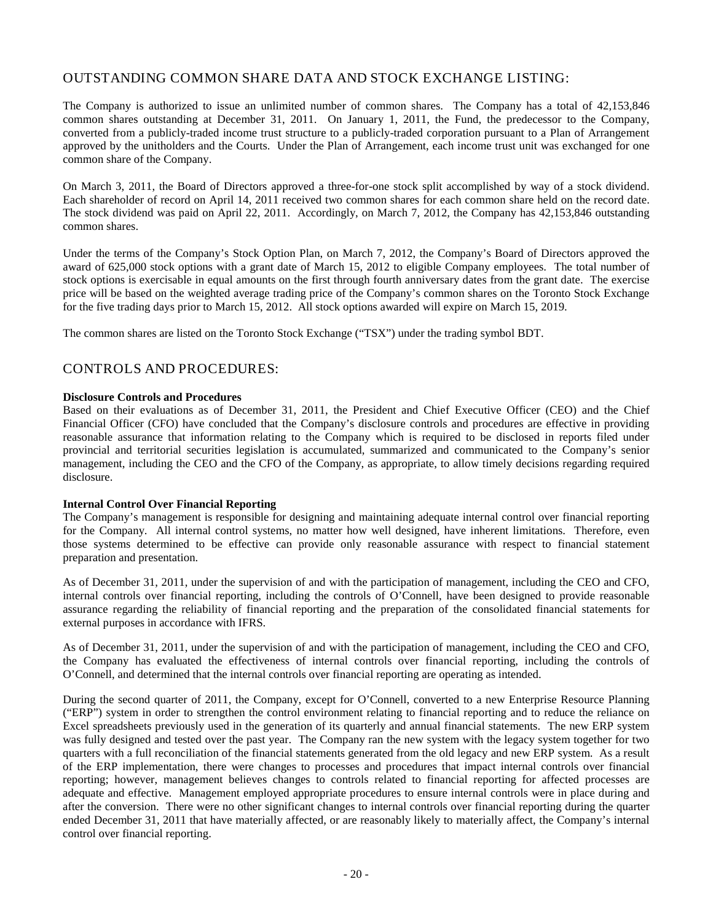# OUTSTANDING COMMON SHARE DATA AND STOCK EXCHANGE LISTING:

The Company is authorized to issue an unlimited number of common shares. The Company has a total of 42,153,846 common shares outstanding at December 31, 2011. On January 1, 2011, the Fund, the predecessor to the Company, converted from a publicly-traded income trust structure to a publicly-traded corporation pursuant to a Plan of Arrangement approved by the unitholders and the Courts. Under the Plan of Arrangement, each income trust unit was exchanged for one common share of the Company.

On March 3, 2011, the Board of Directors approved a three-for-one stock split accomplished by way of a stock dividend. Each shareholder of record on April 14, 2011 received two common shares for each common share held on the record date. The stock dividend was paid on April 22, 2011. Accordingly, on March 7, 2012, the Company has 42,153,846 outstanding common shares.

Under the terms of the Company's Stock Option Plan, on March 7, 2012, the Company's Board of Directors approved the award of 625,000 stock options with a grant date of March 15, 2012 to eligible Company employees. The total number of stock options is exercisable in equal amounts on the first through fourth anniversary dates from the grant date. The exercise price will be based on the weighted average trading price of the Company's common shares on the Toronto Stock Exchange for the five trading days prior to March 15, 2012. All stock options awarded will expire on March 15, 2019.

The common shares are listed on the Toronto Stock Exchange ("TSX") under the trading symbol BDT.

## CONTROLS AND PROCEDURES:

#### **Disclosure Controls and Procedures**

Based on their evaluations as of December 31, 2011, the President and Chief Executive Officer (CEO) and the Chief Financial Officer (CFO) have concluded that the Company's disclosure controls and procedures are effective in providing reasonable assurance that information relating to the Company which is required to be disclosed in reports filed under provincial and territorial securities legislation is accumulated, summarized and communicated to the Company's senior management, including the CEO and the CFO of the Company, as appropriate, to allow timely decisions regarding required disclosure.

#### **Internal Control Over Financial Reporting**

The Company's management is responsible for designing and maintaining adequate internal control over financial reporting for the Company. All internal control systems, no matter how well designed, have inherent limitations. Therefore, even those systems determined to be effective can provide only reasonable assurance with respect to financial statement preparation and presentation.

As of December 31, 2011, under the supervision of and with the participation of management, including the CEO and CFO, internal controls over financial reporting, including the controls of O'Connell, have been designed to provide reasonable assurance regarding the reliability of financial reporting and the preparation of the consolidated financial statements for external purposes in accordance with IFRS.

As of December 31, 2011, under the supervision of and with the participation of management, including the CEO and CFO, the Company has evaluated the effectiveness of internal controls over financial reporting, including the controls of O'Connell, and determined that the internal controls over financial reporting are operating as intended.

During the second quarter of 2011, the Company, except for O'Connell, converted to a new Enterprise Resource Planning ("ERP") system in order to strengthen the control environment relating to financial reporting and to reduce the reliance on Excel spreadsheets previously used in the generation of its quarterly and annual financial statements. The new ERP system was fully designed and tested over the past year. The Company ran the new system with the legacy system together for two quarters with a full reconciliation of the financial statements generated from the old legacy and new ERP system. As a result of the ERP implementation, there were changes to processes and procedures that impact internal controls over financial reporting; however, management believes changes to controls related to financial reporting for affected processes are adequate and effective. Management employed appropriate procedures to ensure internal controls were in place during and after the conversion. There were no other significant changes to internal controls over financial reporting during the quarter ended December 31, 2011 that have materially affected, or are reasonably likely to materially affect, the Company's internal control over financial reporting.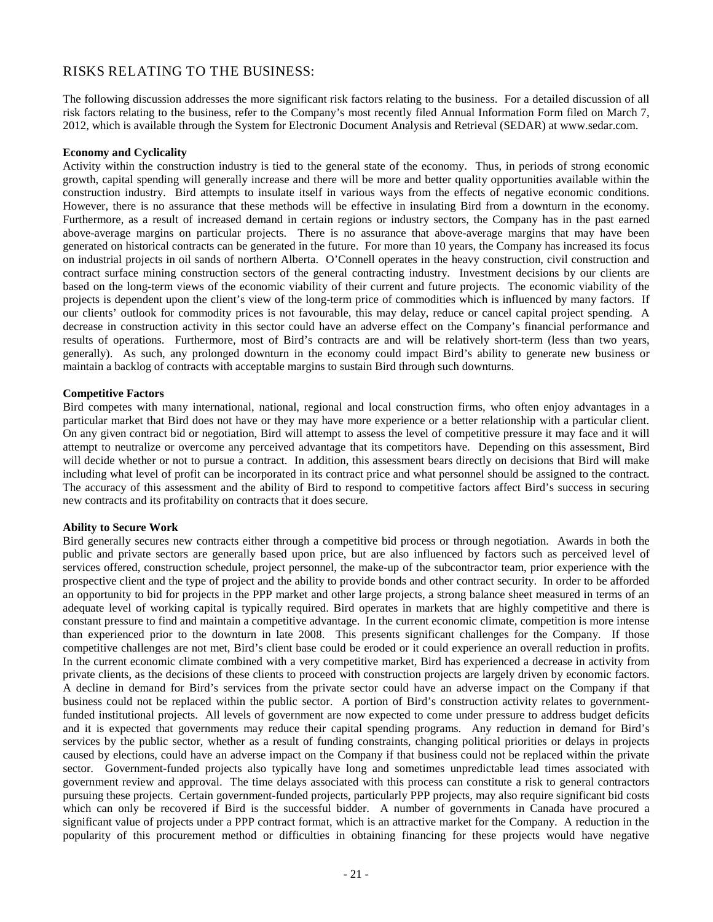## RISKS RELATING TO THE BUSINESS:

The following discussion addresses the more significant risk factors relating to the business. For a detailed discussion of all risk factors relating to the business, refer to the Company's most recently filed Annual Information Form filed on March 7, 2012, which is available through the System for Electronic Document Analysis and Retrieval (SEDAR) at www.sedar.com.

#### **Economy and Cyclicality**

Activity within the construction industry is tied to the general state of the economy. Thus, in periods of strong economic growth, capital spending will generally increase and there will be more and better quality opportunities available within the construction industry. Bird attempts to insulate itself in various ways from the effects of negative economic conditions. However, there is no assurance that these methods will be effective in insulating Bird from a downturn in the economy. Furthermore, as a result of increased demand in certain regions or industry sectors, the Company has in the past earned above-average margins on particular projects. There is no assurance that above-average margins that may have been generated on historical contracts can be generated in the future. For more than 10 years, the Company has increased its focus on industrial projects in oil sands of northern Alberta. O'Connell operates in the heavy construction, civil construction and contract surface mining construction sectors of the general contracting industry. Investment decisions by our clients are based on the long-term views of the economic viability of their current and future projects. The economic viability of the projects is dependent upon the client's view of the long-term price of commodities which is influenced by many factors. If our clients' outlook for commodity prices is not favourable, this may delay, reduce or cancel capital project spending. A decrease in construction activity in this sector could have an adverse effect on the Company's financial performance and results of operations. Furthermore, most of Bird's contracts are and will be relatively short-term (less than two years, generally). As such, any prolonged downturn in the economy could impact Bird's ability to generate new business or maintain a backlog of contracts with acceptable margins to sustain Bird through such downturns.

#### **Competitive Factors**

Bird competes with many international, national, regional and local construction firms, who often enjoy advantages in a particular market that Bird does not have or they may have more experience or a better relationship with a particular client. On any given contract bid or negotiation, Bird will attempt to assess the level of competitive pressure it may face and it will attempt to neutralize or overcome any perceived advantage that its competitors have. Depending on this assessment, Bird will decide whether or not to pursue a contract. In addition, this assessment bears directly on decisions that Bird will make including what level of profit can be incorporated in its contract price and what personnel should be assigned to the contract. The accuracy of this assessment and the ability of Bird to respond to competitive factors affect Bird's success in securing new contracts and its profitability on contracts that it does secure.

#### **Ability to Secure Work**

Bird generally secures new contracts either through a competitive bid process or through negotiation. Awards in both the public and private sectors are generally based upon price, but are also influenced by factors such as perceived level of services offered, construction schedule, project personnel, the make-up of the subcontractor team, prior experience with the prospective client and the type of project and the ability to provide bonds and other contract security. In order to be afforded an opportunity to bid for projects in the PPP market and other large projects, a strong balance sheet measured in terms of an adequate level of working capital is typically required. Bird operates in markets that are highly competitive and there is constant pressure to find and maintain a competitive advantage. In the current economic climate, competition is more intense than experienced prior to the downturn in late 2008. This presents significant challenges for the Company. If those competitive challenges are not met, Bird's client base could be eroded or it could experience an overall reduction in profits. In the current economic climate combined with a very competitive market, Bird has experienced a decrease in activity from private clients, as the decisions of these clients to proceed with construction projects are largely driven by economic factors. A decline in demand for Bird's services from the private sector could have an adverse impact on the Company if that business could not be replaced within the public sector. A portion of Bird's construction activity relates to governmentfunded institutional projects. All levels of government are now expected to come under pressure to address budget deficits and it is expected that governments may reduce their capital spending programs. Any reduction in demand for Bird's services by the public sector, whether as a result of funding constraints, changing political priorities or delays in projects caused by elections, could have an adverse impact on the Company if that business could not be replaced within the private sector. Government-funded projects also typically have long and sometimes unpredictable lead times associated with government review and approval. The time delays associated with this process can constitute a risk to general contractors pursuing these projects. Certain government-funded projects, particularly PPP projects, may also require significant bid costs which can only be recovered if Bird is the successful bidder. A number of governments in Canada have procured a significant value of projects under a PPP contract format, which is an attractive market for the Company. A reduction in the popularity of this procurement method or difficulties in obtaining financing for these projects would have negative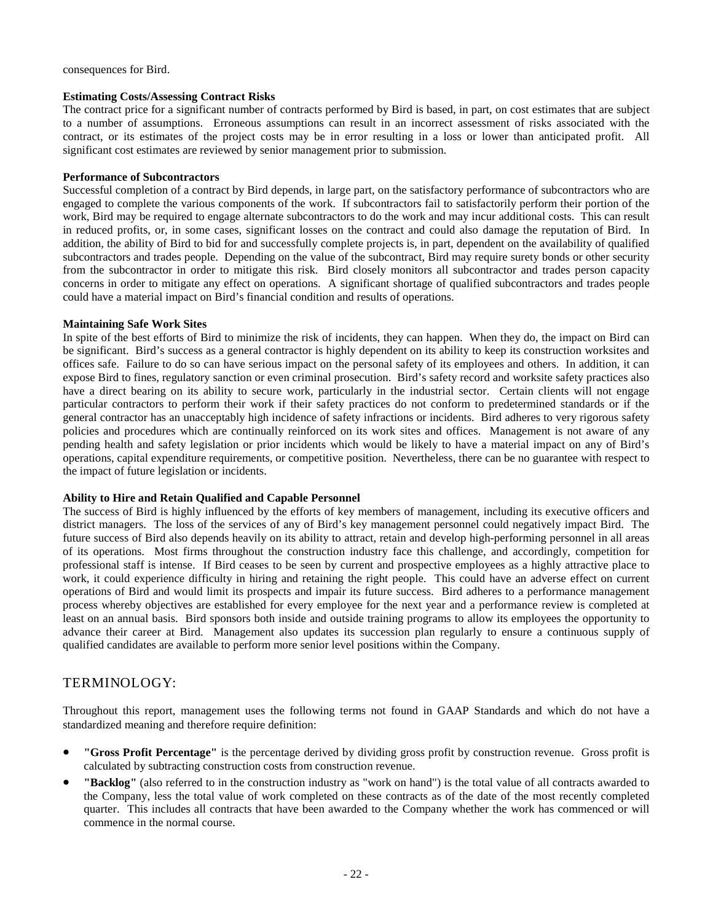consequences for Bird.

#### **Estimating Costs/Assessing Contract Risks**

The contract price for a significant number of contracts performed by Bird is based, in part, on cost estimates that are subject to a number of assumptions. Erroneous assumptions can result in an incorrect assessment of risks associated with the contract, or its estimates of the project costs may be in error resulting in a loss or lower than anticipated profit. All significant cost estimates are reviewed by senior management prior to submission.

#### **Performance of Subcontractors**

Successful completion of a contract by Bird depends, in large part, on the satisfactory performance of subcontractors who are engaged to complete the various components of the work. If subcontractors fail to satisfactorily perform their portion of the work, Bird may be required to engage alternate subcontractors to do the work and may incur additional costs. This can result in reduced profits, or, in some cases, significant losses on the contract and could also damage the reputation of Bird. In addition, the ability of Bird to bid for and successfully complete projects is, in part, dependent on the availability of qualified subcontractors and trades people. Depending on the value of the subcontract, Bird may require surety bonds or other security from the subcontractor in order to mitigate this risk. Bird closely monitors all subcontractor and trades person capacity concerns in order to mitigate any effect on operations. A significant shortage of qualified subcontractors and trades people could have a material impact on Bird's financial condition and results of operations.

#### **Maintaining Safe Work Sites**

In spite of the best efforts of Bird to minimize the risk of incidents, they can happen. When they do, the impact on Bird can be significant. Bird's success as a general contractor is highly dependent on its ability to keep its construction worksites and offices safe. Failure to do so can have serious impact on the personal safety of its employees and others. In addition, it can expose Bird to fines, regulatory sanction or even criminal prosecution. Bird's safety record and worksite safety practices also have a direct bearing on its ability to secure work, particularly in the industrial sector. Certain clients will not engage particular contractors to perform their work if their safety practices do not conform to predetermined standards or if the general contractor has an unacceptably high incidence of safety infractions or incidents. Bird adheres to very rigorous safety policies and procedures which are continually reinforced on its work sites and offices. Management is not aware of any pending health and safety legislation or prior incidents which would be likely to have a material impact on any of Bird's operations, capital expenditure requirements, or competitive position. Nevertheless, there can be no guarantee with respect to the impact of future legislation or incidents.

### **Ability to Hire and Retain Qualified and Capable Personnel**

The success of Bird is highly influenced by the efforts of key members of management, including its executive officers and district managers. The loss of the services of any of Bird's key management personnel could negatively impact Bird. The future success of Bird also depends heavily on its ability to attract, retain and develop high-performing personnel in all areas of its operations. Most firms throughout the construction industry face this challenge, and accordingly, competition for professional staff is intense. If Bird ceases to be seen by current and prospective employees as a highly attractive place to work, it could experience difficulty in hiring and retaining the right people. This could have an adverse effect on current operations of Bird and would limit its prospects and impair its future success. Bird adheres to a performance management process whereby objectives are established for every employee for the next year and a performance review is completed at least on an annual basis. Bird sponsors both inside and outside training programs to allow its employees the opportunity to advance their career at Bird. Management also updates its succession plan regularly to ensure a continuous supply of qualified candidates are available to perform more senior level positions within the Company.

## TERMINOLOGY:

Throughout this report, management uses the following terms not found in GAAP Standards and which do not have a standardized meaning and therefore require definition:

- **"Gross Profit Percentage"** is the percentage derived by dividing gross profit by construction revenue. Gross profit is calculated by subtracting construction costs from construction revenue.
- **"Backlog"** (also referred to in the construction industry as "work on hand") is the total value of all contracts awarded to the Company, less the total value of work completed on these contracts as of the date of the most recently completed quarter. This includes all contracts that have been awarded to the Company whether the work has commenced or will commence in the normal course.